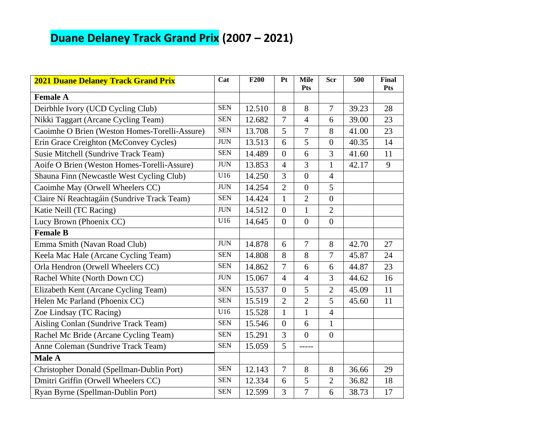# **Duane Delaney Track Grand Prix (2007 – 2021)**

| <b>2021 Duane Delaney Track Grand Prix</b>    | Cat        | <b>F200</b> | Pt             | <b>Mile</b><br><b>Pts</b> | Scr              | 500   | <b>Final</b><br><b>Pts</b> |
|-----------------------------------------------|------------|-------------|----------------|---------------------------|------------------|-------|----------------------------|
| <b>Female A</b>                               |            |             |                |                           |                  |       |                            |
| Deirbhle Ivory (UCD Cycling Club)             | <b>SEN</b> | 12.510      | 8              | 8                         | $\tau$           | 39.23 | 28                         |
| Nikki Taggart (Arcane Cycling Team)           | <b>SEN</b> | 12.682      | $\overline{7}$ | $\overline{4}$            | 6                | 39.00 | 23                         |
| Caoimhe O Brien (Weston Homes-Torelli-Assure) | <b>SEN</b> | 13.708      | 5              | 7                         | 8                | 41.00 | 23                         |
| Erin Grace Creighton (McConvey Cycles)        | <b>JUN</b> | 13.513      | 6              | $\overline{5}$            | $\overline{0}$   | 40.35 | 14                         |
| Susie Mitchell (Sundrive Track Team)          | <b>SEN</b> | 14.489      | $\overline{0}$ | 6                         | 3                | 41.60 | 11                         |
| Aoife O Brien (Weston Homes-Torelli-Assure)   | <b>JUN</b> | 13.853      | $\overline{4}$ | 3                         | $\mathbf{1}$     | 42.17 | 9                          |
| Shauna Finn (Newcastle West Cycling Club)     | U16        | 14.250      | 3              | $\overline{0}$            | $\overline{4}$   |       |                            |
| Caoimhe May (Orwell Wheelers CC)              | <b>JUN</b> | 14.254      | $\overline{2}$ | $\boldsymbol{0}$          | 5                |       |                            |
| Claire Ní Reachtagáin (Sundrive Track Team)   | <b>SEN</b> | 14.424      | $\mathbf{1}$   | $\overline{2}$            | $\overline{0}$   |       |                            |
| Katie Neill (TC Racing)                       | <b>JUN</b> | 14.512      | $\overline{0}$ | $\mathbf{1}$              | $\overline{2}$   |       |                            |
| Lucy Brown (Phoenix CC)                       | U16        | 14.645      | $\overline{0}$ | $\overline{0}$            | $\boldsymbol{0}$ |       |                            |
| <b>Female B</b>                               |            |             |                |                           |                  |       |                            |
| Emma Smith (Navan Road Club)                  | <b>JUN</b> | 14.878      | 6              | 7                         | 8                | 42.70 | 27                         |
| Keela Mac Hale (Arcane Cycling Team)          | <b>SEN</b> | 14.808      | 8              | 8                         | $\overline{7}$   | 45.87 | 24                         |
| Orla Hendron (Orwell Wheelers CC)             | <b>SEN</b> | 14.862      | $\overline{7}$ | 6                         | 6                | 44.87 | 23                         |
| Rachel White (North Down CC)                  | <b>JUN</b> | 15.067      | $\overline{4}$ | $\overline{4}$            | 3                | 44.62 | 16                         |
| Elizabeth Kent (Arcane Cycling Team)          | <b>SEN</b> | 15.537      | $\overline{0}$ | 5                         | $\overline{2}$   | 45.09 | 11                         |
| Helen Mc Parland (Phoenix CC)                 | <b>SEN</b> | 15.519      | $\overline{2}$ | $\overline{2}$            | 5                | 45.60 | 11                         |
| Zoe Lindsay (TC Racing)                       | U16        | 15.528      | $\mathbf{1}$   | $\mathbf{1}$              | $\overline{4}$   |       |                            |
| Aisling Conlan (Sundrive Track Team)          | <b>SEN</b> | 15.546      | $\overline{0}$ | 6                         | $\mathbf{1}$     |       |                            |
| Rachel Mc Bride (Arcane Cycling Team)         | <b>SEN</b> | 15.291      | $\overline{3}$ | $\overline{0}$            | $\boldsymbol{0}$ |       |                            |
| Anne Coleman (Sundrive Track Team)            | <b>SEN</b> | 15.059      | $\overline{5}$ |                           |                  |       |                            |
| Male A                                        |            |             |                |                           |                  |       |                            |
| Christopher Donald (Spellman-Dublin Port)     | <b>SEN</b> | 12.143      | $\overline{7}$ | 8                         | 8                | 36.66 | 29                         |
| Dmitri Griffin (Orwell Wheelers CC)           | <b>SEN</b> | 12.334      | 6              | 5                         | $\overline{2}$   | 36.82 | 18                         |
| Ryan Byrne (Spellman-Dublin Port)             | <b>SEN</b> | 12.599      | $\overline{3}$ | $\overline{7}$            | 6                | 38.73 | 17                         |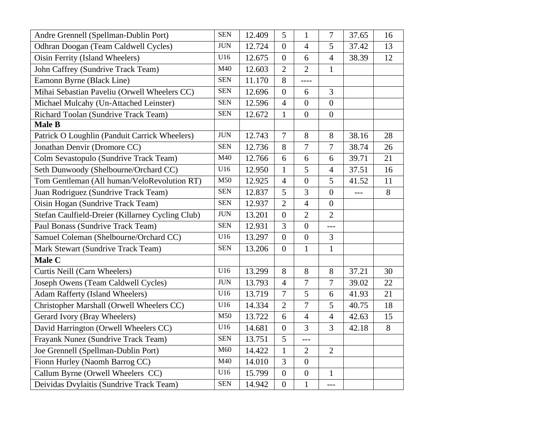| Andre Grennell (Spellman-Dublin Port)            | <b>SEN</b> | 12.409 | 5                | $\mathbf{1}$     | $\boldsymbol{7}$ | 37.65 | 16    |
|--------------------------------------------------|------------|--------|------------------|------------------|------------------|-------|-------|
| Odhran Doogan (Team Caldwell Cycles)             | <b>JUN</b> | 12.724 | $\overline{0}$   | $\overline{4}$   | 5                | 37.42 | 13    |
| Oisin Ferrity (Island Wheelers)                  | U16        | 12.675 | $\overline{0}$   | 6                | $\overline{4}$   | 38.39 | 12    |
| John Caffrey (Sundrive Track Team)               | M40        | 12.603 | $\overline{2}$   | $\overline{2}$   | $\mathbf{1}$     |       |       |
| Eamonn Byrne (Black Line)                        | <b>SEN</b> | 11.170 | 8                | ----             |                  |       |       |
| Mihai Sebastian Paveliu (Orwell Wheelers CC)     | <b>SEN</b> | 12.696 | $\boldsymbol{0}$ | 6                | 3                |       |       |
| Michael Mulcahy (Un-Attached Leinster)           | <b>SEN</b> | 12.596 | $\overline{4}$   | $\overline{0}$   | $\overline{0}$   |       |       |
| Richard Toolan (Sundrive Track Team)             | <b>SEN</b> | 12.672 | $\mathbf{1}$     | $\overline{0}$   | $\overline{0}$   |       |       |
| Male B                                           |            |        |                  |                  |                  |       |       |
| Patrick O Loughlin (Panduit Carrick Wheelers)    | <b>JUN</b> | 12.743 | $\boldsymbol{7}$ | 8                | 8                | 38.16 | 28    |
| Jonathan Denvir (Dromore CC)                     | <b>SEN</b> | 12.736 | 8                | $\boldsymbol{7}$ | $\boldsymbol{7}$ | 38.74 | 26    |
| Colm Sevastopulo (Sundrive Track Team)           | M40        | 12.766 | 6                | 6                | 6                | 39.71 | 21    |
| Seth Dunwoody (Shelbourne/Orchard CC)            | U16        | 12.950 | $\mathbf{1}$     | 5                | $\overline{4}$   | 37.51 | 16    |
| Tom Gentleman (All human/VeloRevolution RT)      | M50        | 12.925 | $\overline{4}$   | $\overline{0}$   | 5                | 41.52 | 11    |
| Juan Rodriguez (Sundrive Track Team)             | <b>SEN</b> | 12.837 | 5                | $\overline{3}$   | $\overline{0}$   | $---$ | 8     |
| Oisin Hogan (Sundrive Track Team)                | <b>SEN</b> | 12.937 | $\overline{2}$   | $\overline{4}$   | $\boldsymbol{0}$ |       |       |
| Stefan Caulfield-Dreier (Killarney Cycling Club) | <b>JUN</b> | 13.201 | $\boldsymbol{0}$ | $\overline{2}$   | $\overline{2}$   |       |       |
| Paul Bonass (Sundrive Track Team)                | <b>SEN</b> | 12.931 | $\overline{3}$   | $\overline{0}$   | $---$            |       |       |
| Samuel Coleman (Shelbourne/Orchard CC)           | U16        | 13.297 | $\overline{0}$   | $\overline{0}$   | 3                |       |       |
| Mark Stewart (Sundrive Track Team)               | <b>SEN</b> | 13.206 | $\overline{0}$   | $\mathbf{1}$     | $\mathbf 1$      |       |       |
| Male C                                           |            |        |                  |                  |                  |       |       |
| Curtis Neill (Carn Wheelers)                     | U16        | 13.299 | 8                | $8\,$            | 8                | 37.21 | 30    |
| Joseph Owens (Team Caldwell Cycles)              | <b>JUN</b> | 13.793 | $\overline{4}$   | $\overline{7}$   | $\overline{7}$   | 39.02 | 22    |
| Adam Rafferty (Island Wheelers)                  | U16        | 13.719 | $\overline{7}$   | 5                | 6                | 41.93 | 21    |
| Christopher Marshall (Orwell Wheelers CC)        | U16        | 14.334 | $\mathbf{2}$     | $\overline{7}$   | 5                | 40.75 | 18    |
| Gerard Ivory (Bray Wheelers)                     | M50        | 13.722 | 6                | $\overline{4}$   | $\overline{4}$   | 42.63 | 15    |
| David Harrington (Orwell Wheelers CC)            | U16        | 14.681 | $\overline{0}$   | 3                | 3                | 42.18 | $8\,$ |
| Frayank Nunez (Sundrive Track Team)              | <b>SEN</b> | 13.751 | 5                | $---$            |                  |       |       |
| Joe Grennell (Spellman-Dublin Port)              | M60        | 14.422 | $\mathbf{1}$     | $\overline{2}$   | $\overline{2}$   |       |       |
| Fionn Hurley (Naomh Barrog CC)                   | M40        | 14.010 | $\overline{3}$   | $\overline{0}$   |                  |       |       |
| Callum Byrne (Orwell Wheelers CC)                | U16        | 15.799 | $\boldsymbol{0}$ | $\boldsymbol{0}$ | $\mathbf{1}$     |       |       |
| Deividas Dvylaitis (Sundrive Track Team)         | <b>SEN</b> | 14.942 | $\overline{0}$   | $\mathbf{1}$     | ---              |       |       |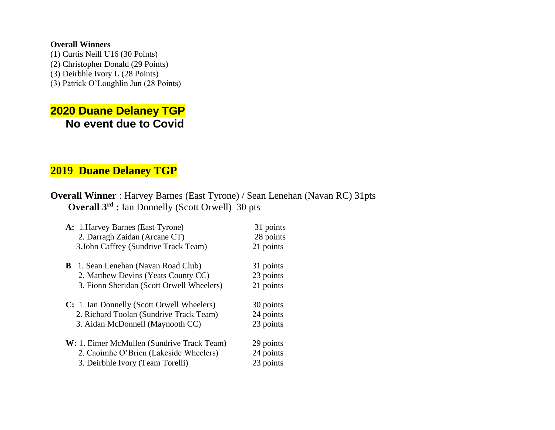## **Overall Winners**

(1) Curtis Neill U16 (30 Points) (2) Christopher Donald (29 Points) (3) Deirbhle Ivory L (28 Points) (3) Patrick O'Loughlin Jun (28 Points)

## **2020 Duane Delaney TGP No event due to Covid**

## **2019 Duane Delaney TGP**

## **Overall Winner** : Harvey Barnes (East Tyrone) / Sean Lenehan (Navan RC) 31pts **Overall 3rd :** Ian Donnelly (Scott Orwell) 30 pts

| A: 1. Harvey Barnes (East Tyrone)          | 31 points |
|--------------------------------------------|-----------|
| 2. Darragh Zaidan (Arcane CT)              | 28 points |
| 3.John Caffrey (Sundrive Track Team)       | 21 points |
| B<br>1. Sean Lenehan (Navan Road Club)     | 31 points |
| 2. Matthew Devins (Yeats County CC)        | 23 points |
| 3. Fionn Sheridan (Scott Orwell Wheelers)  | 21 points |
| C: 1. Ian Donnelly (Scott Orwell Wheelers) | 30 points |
| 2. Richard Toolan (Sundrive Track Team)    | 24 points |
| 3. Aidan McDonnell (Maynooth CC)           | 23 points |
| W: 1. Eimer McMullen (Sundrive Track Team) | 29 points |
| 2. Caoimhe O'Brien (Lakeside Wheelers)     | 24 points |
| 3. Deirbhle Ivory (Team Torelli)           | 23 points |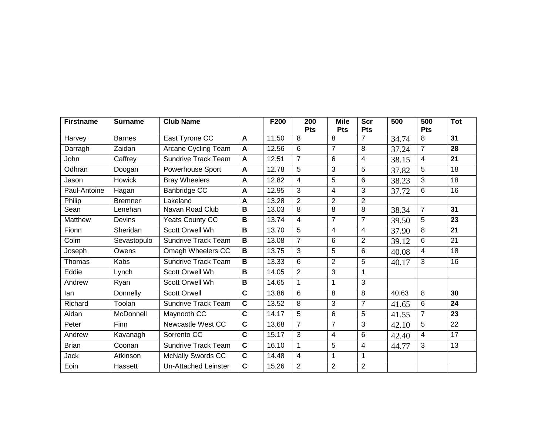| <b>Firstname</b> | <b>Surname</b> | <b>Club Name</b>           |                         | F200  | 200<br>Pts     | <b>Mile</b><br>Pts | <b>Scr</b><br>Pts | 500   | 500<br>Pts     | <b>Tot</b> |
|------------------|----------------|----------------------------|-------------------------|-------|----------------|--------------------|-------------------|-------|----------------|------------|
| Harvey           | <b>Barnes</b>  | East Tyrone CC             | A                       | 11.50 | 8              | 8                  | $\overline{7}$    | 34.74 | 8              | 31         |
| Darragh          | Zaidan         | Arcane Cycling Team        | $\mathbf{A}$            | 12.56 | 6              | $\overline{7}$     | 8                 | 37.24 | $\overline{7}$ | 28         |
| John             | Caffrey        | <b>Sundrive Track Team</b> | A                       | 12.51 | $\overline{7}$ | 6                  | 4                 | 38.15 | 4              | 21         |
| Odhran           | Doogan         | <b>Powerhouse Sport</b>    | A                       | 12.78 | 5              | 3                  | 5                 | 37.82 | 5              | 18         |
| Jason            | <b>Howick</b>  | <b>Bray Wheelers</b>       | $\mathbf{A}$            | 12.82 | $\overline{4}$ | 5                  | 6                 | 38.23 | 3              | 18         |
| Paul-Antoine     | Hagan          | <b>Banbridge CC</b>        | A                       | 12.95 | $\overline{3}$ | 4                  | $\overline{3}$    | 37.72 | 6              | 16         |
| Philip           | <b>Bremner</b> | Lakeland                   | A                       | 13.28 | $\overline{2}$ | $\overline{2}$     | $\overline{2}$    |       |                |            |
| Sean             | Lenehan        | Navan Road Club            | B                       | 13.03 | 8              | 8                  | 8                 | 38.34 | $\overline{7}$ | 31         |
| <b>Matthew</b>   | Devins         | <b>Yeats County CC</b>     | B                       | 13.74 | $\overline{4}$ | $\overline{7}$     | $\overline{7}$    | 39.50 | 5              | 23         |
| Fionn            | Sheridan       | Scott Orwell Wh            | B                       | 13.70 | 5              | 4                  | $\overline{4}$    | 37.90 | 8              | 21         |
| Colm             | Sevastopulo    | <b>Sundrive Track Team</b> | B                       | 13.08 | $\overline{7}$ | 6                  | $\overline{2}$    | 39.12 | 6              | 21         |
| Joseph           | Owens          | Omagh Wheelers CC          | B                       | 13.75 | 3              | 5                  | 6                 | 40.08 | 4              | 18         |
| Thomas           | Kabs           | <b>Sundrive Track Team</b> | B                       | 13.33 | 6              | $\overline{2}$     | 5                 | 40.17 | 3              | 16         |
| Eddie            | Lynch          | Scott Orwell Wh            | B                       | 14.05 | 2              | 3                  | $\mathbf{1}$      |       |                |            |
| Andrew           | Ryan           | Scott Orwell Wh            | B                       | 14.65 | $\mathbf 1$    | 1                  | 3                 |       |                |            |
| lan              | Donnelly       | <b>Scott Orwell</b>        | $\overline{\mathbf{c}}$ | 13.86 | 6              | 8                  | 8                 | 40.63 | $\overline{8}$ | 30         |
| Richard          | Toolan         | <b>Sundrive Track Team</b> | $\mathbf C$             | 13.52 | 8              | 3                  | $\overline{7}$    | 41.65 | 6              | 24         |
| Aidan            | McDonnell      | Maynooth CC                | $\mathbf{C}$            | 14.17 | 5              | 6                  | 5                 | 41.55 | $\overline{7}$ | 23         |
| Peter            | Finn           | Newcastle West CC          | $\overline{\mathbf{c}}$ | 13.68 | $\overline{7}$ | $\overline{7}$     | $\overline{3}$    | 42.10 | 5              | 22         |
| Andrew           | Kavanagh       | Sorrento CC                | $\overline{\mathbf{c}}$ | 15.17 | $\overline{3}$ | $\overline{4}$     | 6                 | 42.40 | $\overline{4}$ | 17         |
| <b>Brian</b>     | Coonan         | <b>Sundrive Track Team</b> | $\mathbf c$             | 16.10 | 1              | 5                  | $\overline{4}$    | 44.77 | 3              | 13         |
| <b>Jack</b>      | Atkinson       | <b>McNally Swords CC</b>   | $\mathbf c$             | 14.48 | $\overline{4}$ | 1                  | $\mathbf{1}$      |       |                |            |
| Eoin             | Hassett        | Un-Attached Leinster       | $\overline{\mathbf{c}}$ | 15.26 | $\overline{2}$ | $\overline{2}$     | $\overline{2}$    |       |                |            |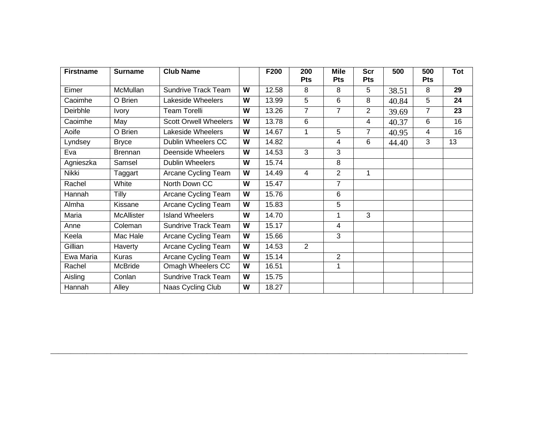| <b>Firstname</b> | <b>Surname</b>    | <b>Club Name</b>             |   | F200  | 200<br><b>Pts</b> | <b>Mile</b><br><b>Pts</b> | <b>Scr</b><br><b>Pts</b> | 500   | 500<br><b>Pts</b> | Tot |
|------------------|-------------------|------------------------------|---|-------|-------------------|---------------------------|--------------------------|-------|-------------------|-----|
| Eimer            | McMullan          | <b>Sundrive Track Team</b>   | W | 12.58 | 8                 | 8                         | 5                        | 38.51 | 8                 | 29  |
| Caoimhe          | O Brien           | Lakeside Wheelers            | W | 13.99 | 5                 | 6                         | 8                        | 40.84 | 5                 | 24  |
| Deirbhle         | <b>Ivory</b>      | <b>Team Torelli</b>          | W | 13.26 | 7                 | $\overline{7}$            | 2                        | 39.69 | 7                 | 23  |
| Caoimhe          | May               | <b>Scott Orwell Wheelers</b> | W | 13.78 | 6                 |                           | 4                        | 40.37 | 6                 | 16  |
| Aoife            | O Brien           | Lakeside Wheelers            | W | 14.67 | 1                 | 5                         | $\overline{7}$           | 40.95 | 4                 | 16  |
| Lyndsey          | <b>Bryce</b>      | Dublin Wheelers CC           | W | 14.82 |                   | 4                         | 6                        | 44.40 | 3                 | 13  |
| Eva              | Brennan           | <b>Deenside Wheelers</b>     | W | 14.53 | 3                 | 3                         |                          |       |                   |     |
| Agnieszka        | Samsel            | <b>Dublin Wheelers</b>       | W | 15.74 |                   | 8                         |                          |       |                   |     |
| Nikki            | Taggart           | Arcane Cycling Team          | W | 14.49 | $\overline{4}$    | 2                         | 1                        |       |                   |     |
| Rachel           | White             | North Down CC                | W | 15.47 |                   | $\overline{7}$            |                          |       |                   |     |
| Hannah           | Tilly             | Arcane Cycling Team          | W | 15.76 |                   | 6                         |                          |       |                   |     |
| Almha            | Kissane           | Arcane Cycling Team          | W | 15.83 |                   | 5                         |                          |       |                   |     |
| Maria            | <b>McAllister</b> | <b>Island Wheelers</b>       | W | 14.70 |                   | 1                         | 3                        |       |                   |     |
| Anne             | Coleman           | <b>Sundrive Track Team</b>   | W | 15.17 |                   | 4                         |                          |       |                   |     |
| Keela            | Mac Hale          | Arcane Cycling Team          | W | 15.66 |                   | 3                         |                          |       |                   |     |
| Gillian          | Haverty           | Arcane Cycling Team          | W | 14.53 | $\overline{2}$    |                           |                          |       |                   |     |
| Ewa Maria        | Kuras             | Arcane Cycling Team          | W | 15.14 |                   | $\overline{2}$            |                          |       |                   |     |
| Rachel           | McBride           | Omagh Wheelers CC            | W | 16.51 |                   | 1                         |                          |       |                   |     |
| Aisling          | Conlan            | <b>Sundrive Track Team</b>   | W | 15.75 |                   |                           |                          |       |                   |     |
| Hannah           | Alley             | Naas Cycling Club            | W | 18.27 |                   |                           |                          |       |                   |     |

 $\_$  , and the set of the set of the set of the set of the set of the set of the set of the set of the set of the set of the set of the set of the set of the set of the set of the set of the set of the set of the set of th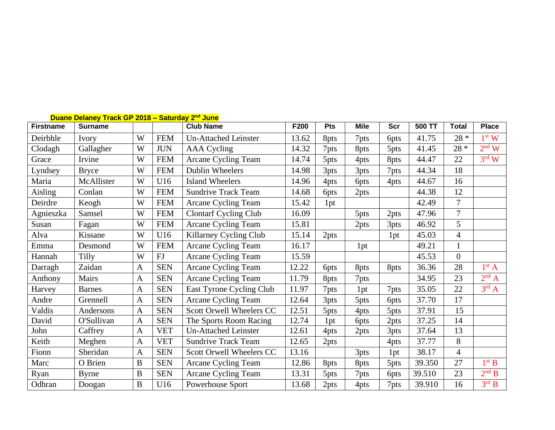|                  | Duane Delaney Track GP 2018 - Saturday 2 <sup>nd</sup> June |              |            |                              |       |                  |                  |             |        |                |                   |  |  |
|------------------|-------------------------------------------------------------|--------------|------------|------------------------------|-------|------------------|------------------|-------------|--------|----------------|-------------------|--|--|
| <b>Firstname</b> | <b>Surname</b>                                              |              |            | <b>Club Name</b>             | F200  | Pts              | <b>Mile</b>      | <b>Scr</b>  | 500 TT | <b>Total</b>   | <b>Place</b>      |  |  |
| Deirbhle         | Ivory                                                       | W            | <b>FEM</b> | <b>Un-Attached Leinster</b>  | 13.62 | 8pts             | 7pts             | <b>6pts</b> | 41.75  | $28 *$         | 1 <sup>st</sup> W |  |  |
| Clodagh          | Gallagher                                                   | W            | <b>JUN</b> | AAA Cycling                  | 14.32 | 7pts             | 8pts             | 5pts        | 41.45  | $28 *$         | $2nd$ W           |  |  |
| Grace            | Irvine                                                      | W            | <b>FEM</b> | Arcane Cycling Team          | 14.74 | 5pts             | 4pts             | 8pts        | 44.47  | 22             | $3^{\text{rd}}$ W |  |  |
| Lyndsey          | <b>Bryce</b>                                                | W            | <b>FEM</b> | Dublin Wheelers              | 14.98 | 3pts             | 3pts             | 7pts        | 44.34  | 18             |                   |  |  |
| Maria            | McAllister                                                  | W            | U16        | <b>Island Wheelers</b>       | 14.96 | 4pts             | 6 <sub>pts</sub> | 4pts        | 44.67  | 16             |                   |  |  |
| Aisling          | Conlan                                                      | W            | <b>FEM</b> | <b>Sundrive Track Team</b>   | 14.68 | 6 <sub>pts</sub> | 2pts             |             | 44.38  | 12             |                   |  |  |
| Deirdre          | Keogh                                                       | W            | <b>FEM</b> | Arcane Cycling Team          | 15.42 | 1pt              |                  |             | 42.49  | $\overline{7}$ |                   |  |  |
| Agnieszka        | Samsel                                                      | W            | <b>FEM</b> | <b>Clontarf Cycling Club</b> | 16.09 |                  | 5pts             | 2pts        | 47.96  | $\overline{7}$ |                   |  |  |
| Susan            | Fagan                                                       | W            | <b>FEM</b> | Arcane Cycling Team          | 15.81 |                  | 2pts             | 3pts        | 46.92  | 5              |                   |  |  |
| Alva             | Kissane                                                     | W            | U16        | Killarney Cycling Club       | 15.14 | 2pts             |                  | 1pt         | 45.03  | $\overline{4}$ |                   |  |  |
| Emma             | Desmond                                                     | W            | <b>FEM</b> | Arcane Cycling Team          | 16.17 |                  | 1pt              |             | 49.21  | $\mathbf{1}$   |                   |  |  |
| Hannah           | <b>Tilly</b>                                                | W            | FJ         | Arcane Cycling Team          | 15.59 |                  |                  |             | 45.53  | $\overline{0}$ |                   |  |  |
| Darragh          | Zaidan                                                      | $\mathbf{A}$ | <b>SEN</b> | Arcane Cycling Team          | 12.22 | <b>6pts</b>      | 8pts             | 8pts        | 36.36  | 28             | 1 <sup>st</sup> A |  |  |
| Anthony          | Mairs                                                       | $\mathbf{A}$ | <b>SEN</b> | Arcane Cycling Team          | 11.79 | 8pts             | 7pts             |             | 34.95  | 23             | 2 <sup>nd</sup> A |  |  |
| Harvey           | <b>Barnes</b>                                               | $\mathbf{A}$ | <b>SEN</b> | East Tyrone Cycling Club     | 11.97 | 7pts             | 1pt              | 7pts        | 35.05  | 22             | $3^{\text{rd}}$ A |  |  |
| Andre            | Grennell                                                    | $\mathbf{A}$ | <b>SEN</b> | Arcane Cycling Team          | 12.64 | 3pts             | 5pts             | <b>6pts</b> | 37.70  | 17             |                   |  |  |
| Valdis           | Andersons                                                   | $\mathbf{A}$ | <b>SEN</b> | Scott Orwell Wheelers CC     | 12.51 | 5pts             | 4pts             | 5pts        | 37.91  | 15             |                   |  |  |
| David            | O'Sullivan                                                  | $\mathbf{A}$ | <b>SEN</b> | The Sports Room Racing       | 12.74 | 1pt              | 6 <sub>pts</sub> | 2pts        | 37.25  | 14             |                   |  |  |
| John             | Caffrey                                                     | $\mathbf{A}$ | <b>VET</b> | <b>Un-Attached Leinster</b>  | 12.61 | 4pts             | 2pts             | 3pts        | 37.64  | 13             |                   |  |  |
| Keith            | Meghen                                                      | $\mathbf{A}$ | <b>VET</b> | <b>Sundrive Track Team</b>   | 12.65 | 2pts             |                  | 4pts        | 37.77  | 8              |                   |  |  |
| Fionn            | Sheridan                                                    | $\mathbf{A}$ | <b>SEN</b> | Scott Orwell Wheelers CC     | 13.16 |                  | 3pts             | 1pt         | 38.17  | $\overline{4}$ |                   |  |  |
| Marc             | O Brien                                                     | $\bf{B}$     | <b>SEN</b> | Arcane Cycling Team          | 12.86 | 8pts             | 8pts             | 5pts        | 39.350 | 27             | 1 <sup>st</sup> B |  |  |
| Ryan             | <b>Byrne</b>                                                | $\bf{B}$     | <b>SEN</b> | Arcane Cycling Team          | 13.31 | 5pts             | 7pts             | <b>6pts</b> | 39.510 | 23             | $2nd$ B           |  |  |
| Odhran           | Doogan                                                      | $\, {\bf B}$ | U16        | Powerhouse Sport             | 13.68 | 2pts             | 4pts             | 7pts        | 39.910 | 16             | $3^{\text{rd}}$ B |  |  |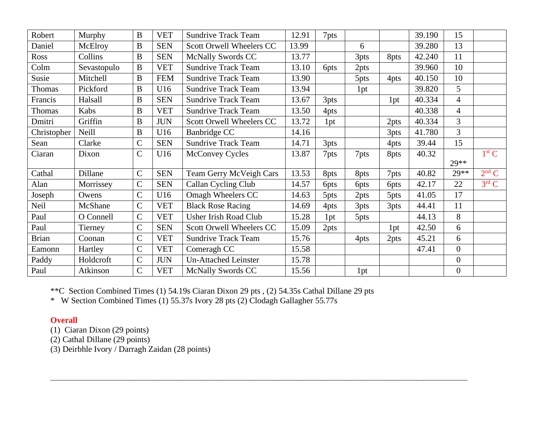| Robert       | Murphy       | $\bf{B}$     | <b>VET</b> | <b>Sundrive Track Team</b>  | 12.91 | 7pts             |                  |      | 39.190 | 15               |                   |
|--------------|--------------|--------------|------------|-----------------------------|-------|------------------|------------------|------|--------|------------------|-------------------|
| Daniel       | McElroy      | $\bf{B}$     | <b>SEN</b> | Scott Orwell Wheelers CC    | 13.99 |                  | 6                |      | 39.280 | 13               |                   |
| Ross         | Collins      | $\bf{B}$     | <b>SEN</b> | <b>McNally Swords CC</b>    | 13.77 |                  | 3pts             | 8pts | 42.240 | 11               |                   |
| Colm         | Sevastopulo  | B            | <b>VET</b> | <b>Sundrive Track Team</b>  | 13.10 | 6 <sub>pts</sub> | 2pts             |      | 39.960 | 10               |                   |
| Susie        | Mitchell     | $\, {\bf B}$ | <b>FEM</b> | <b>Sundrive Track Team</b>  | 13.90 |                  | 5pts             | 4pts | 40.150 | 10               |                   |
| Thomas       | Pickford     | $\mathbf{B}$ | U16        | <b>Sundrive Track Team</b>  | 13.94 |                  | 1pt              |      | 39.820 | 5                |                   |
| Francis      | Halsall      | $\bf{B}$     | <b>SEN</b> | <b>Sundrive Track Team</b>  | 13.67 | 3pts             |                  | 1pt  | 40.334 | $\overline{4}$   |                   |
| Thomas       | Kabs         | B            | <b>VET</b> | <b>Sundrive Track Team</b>  | 13.50 | 4pts             |                  |      | 40.338 | $\overline{4}$   |                   |
| Dmitri       | Griffin      | $\, {\bf B}$ | <b>JUN</b> | Scott Orwell Wheelers CC    | 13.72 | 1pt              |                  | 2pts | 40.334 | 3                |                   |
| Christopher  | <b>Neill</b> | $\bf{B}$     | U16        | Banbridge CC                | 14.16 |                  |                  | 3pts | 41.780 | $\overline{3}$   |                   |
| Sean         | Clarke       | $\mathbf C$  | <b>SEN</b> | <b>Sundrive Track Team</b>  | 14.71 | 3pts             |                  | 4pts | 39.44  | 15               |                   |
| Ciaran       | Dixon        | $\mathbf C$  | U16        | <b>McConvey Cycles</b>      | 13.87 | 7pts             | 7pts             | 8pts | 40.32  |                  | 1 <sup>st</sup> C |
|              |              |              |            |                             |       |                  |                  |      |        | $29**$           |                   |
| Cathal       | Dillane      | $\mathsf{C}$ | <b>SEN</b> | Team Gerry McVeigh Cars     | 13.53 | 8pts             | 8pts             | 7pts | 40.82  | $29**$           | $2nd$ C           |
| Alan         | Morrissey    | $\mathbf C$  | <b>SEN</b> | Callan Cycling Club         | 14.57 | <b>6pts</b>      | 6 <sub>pts</sub> | 6pts | 42.17  | 22               | $3^{\text{rd}}$ C |
| Joseph       | Owens        | $\mathsf{C}$ | U16        | Omagh Wheelers CC           | 14.63 | 5pts             | 2pts             | 5pts | 41.05  | 17               |                   |
| Neil         | McShane      | $\mathbf C$  | <b>VET</b> | <b>Black Rose Racing</b>    | 14.69 | 4pts             | 3pts             | 3pts | 44.41  | 11               |                   |
| Paul         | O Connell    | $\mathsf{C}$ | <b>VET</b> | Usher Irish Road Club       | 15.28 | 1pt              | 5pts             |      | 44.13  | 8                |                   |
| Paul         | Tierney      | $\mathbf C$  | <b>SEN</b> | Scott Orwell Wheelers CC    | 15.09 | 2pts             |                  | 1pt  | 42.50  | 6                |                   |
| <b>Brian</b> | Coonan       | $\mathsf{C}$ | <b>VET</b> | <b>Sundrive Track Team</b>  | 15.76 |                  | 4pts             | 2pts | 45.21  | 6                |                   |
| Eamonn       | Hartley      | $\mathbf C$  | <b>VET</b> | Comeragh CC                 | 15.58 |                  |                  |      | 47.41  | $\overline{0}$   |                   |
| Paddy        | Holdcroft    | $\mathbf C$  | <b>JUN</b> | <b>Un-Attached Leinster</b> | 15.78 |                  |                  |      |        | $\overline{0}$   |                   |
| Paul         | Atkinson     | $\mathsf{C}$ | <b>VET</b> | <b>McNally Swords CC</b>    | 15.56 |                  | 1pt              |      |        | $\boldsymbol{0}$ |                   |

 $\_$  , and the set of the set of the set of the set of the set of the set of the set of the set of the set of the set of the set of the set of the set of the set of the set of the set of the set of the set of the set of th

\*\*C Section Combined Times (1) 54.19s Ciaran Dixon 29 pts , (2) 54.35s Cathal Dillane 29 pts

\* W Section Combined Times (1) 55.37s Ivory 28 pts (2) Clodagh Gallagher 55.77s

## **Overall**

- (1) Ciaran Dixon (29 points)
- (2) Cathal Dillane (29 points)

(3) Deirbhle Ivory / Darragh Zaidan (28 points)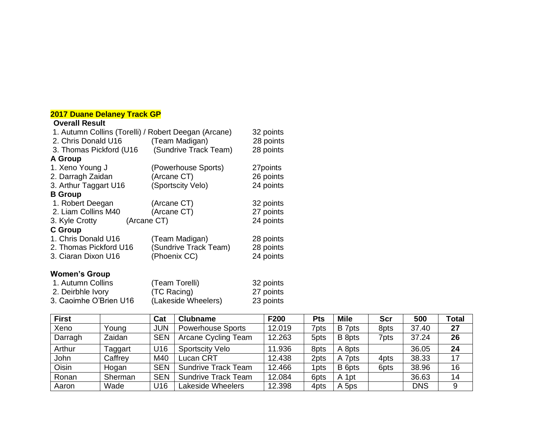#### **2017 Duane Delaney Track GP**

#### **Overall Result**

| 1. Autumn Collins (Torelli) / Robert Deegan (Arcane) |                       | 32 points |
|------------------------------------------------------|-----------------------|-----------|
| 2. Chris Donald U16                                  | (Team Madigan)        | 28 points |
| 3. Thomas Pickford (U16)                             | (Sundrive Track Team) | 28 points |
| <b>A Group</b>                                       |                       |           |
| 1. Xeno Young J                                      | (Powerhouse Sports)   | 27 points |
| 2. Darragh Zaidan                                    | (Arcane CT)           | 26 points |
| 3. Arthur Taggart U16                                | (Sportscity Velo)     | 24 points |
| <b>B</b> Group                                       |                       |           |
| 1. Robert Deegan                                     | (Arcane CT)           | 32 points |
| 2. Liam Collins M40                                  | (Arcane CT)           | 27 points |
| 3. Kyle Crotty<br>(Arcane CT)                        |                       | 24 points |
| <b>C</b> Group                                       |                       |           |
| 1. Chris Donald U16                                  | (Team Madigan)        | 28 points |
| 2. Thomas Pickford U16                               | (Sundrive Track Team) | 28 points |
| 3. Ciaran Dixon U16                                  | (Phoenix CC)          | 24 points |
|                                                      |                       |           |

## **Women's Group**

| 1. Autumn Collins      | (Team Torelli)      | 32 points |
|------------------------|---------------------|-----------|
| 2. Deirbhle Ivory      | (TC Racing)         | 27 points |
| 3. Caoimhe O'Brien U16 | (Lakeside Wheelers) | 23 points |

| <b>First</b> |         | Cat        | <b>Clubname</b>            | F200   | Pts  | <b>Mile</b> | Scr  | 500        | <b>Total</b> |
|--------------|---------|------------|----------------------------|--------|------|-------------|------|------------|--------------|
| Xeno         | Young   | <b>JUN</b> | <b>Powerhouse Sports</b>   | 12.019 | 7pts | B 7pts      | 8pts | 37.40      | 27           |
| Darragh      | Zaidan  | <b>SEN</b> | Arcane Cycling Team        | 12.263 | 5pts | B 8pts      | 7pts | 37.24      | 26           |
| Arthur       | Taggart | U16        | <b>Sportscity Velo</b>     | 11.936 | 8pts | A 8pts      |      | 36.05      | 24           |
| John         | Caffrey | M40        | Lucan CRT                  | 12.438 | 2pts | A 7pts      | 4pts | 38.33      | 17           |
| Oisin        | Hogan   | <b>SEN</b> | <b>Sundrive Track Team</b> | 12.466 | 1pts | B 6pts      | 6pts | 38.96      | 16           |
| Ronan        | Sherman | <b>SEN</b> | <b>Sundrive Track Team</b> | 12.084 | 6pts | A 1pt       |      | 36.63      | 14           |
| Aaron        | Wade    | U16        | <b>Lakeside Wheelers</b>   | 12.398 | 4pts | A 5ps       |      | <b>DNS</b> | 9            |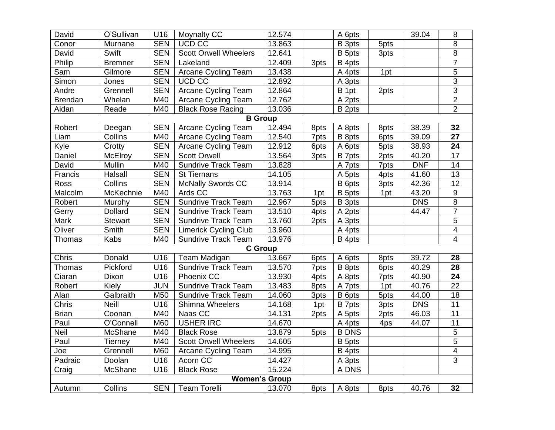| David          | O'Sullivan     | U16        | Moynalty CC                  | 12.574              |      | A 6pts       |      | 39.04      | 8                       |
|----------------|----------------|------------|------------------------------|---------------------|------|--------------|------|------------|-------------------------|
| Conor          | Murnane        | <b>SEN</b> | UCD CC                       | 13.863              |      | B 3pts       | 5pts |            | 8                       |
| David          | Swift          | <b>SEN</b> | <b>Scott Orwell Wheelers</b> | 12.641              |      | B 5pts       | 3pts |            | $\overline{8}$          |
| Philip         | <b>Bremner</b> | <b>SEN</b> | Lakeland                     | 12.409              | 3pts | B 4pts       |      |            | $\overline{7}$          |
| Sam            | Gilmore        | <b>SEN</b> | Arcane Cycling Team          | 13.438              |      | A 4pts       | 1pt  |            | 5                       |
| Simon          | Jones          | <b>SEN</b> | <b>UCD CC</b>                | 12.892              |      | A 3pts       |      |            | $\overline{3}$          |
| Andre          | Grennell       | <b>SEN</b> | Arcane Cycling Team          | 12.864              |      | B 1pt        | 2pts |            | $\overline{3}$          |
| <b>Brendan</b> | Whelan         | M40        | Arcane Cycling Team          | $\overline{12.762}$ |      | A 2pts       |      |            | $\overline{2}$          |
| Aidan          | Reade          | M40        | <b>Black Rose Racing</b>     | 13.036              |      | B 2pts       |      |            | $\overline{2}$          |
|                |                |            | <b>B</b> Group               |                     |      |              |      |            |                         |
| Robert         | Deegan         | <b>SEN</b> | Arcane Cycling Team          | 12.494              | 8pts | A 8pts       | 8pts | 38.39      | 32                      |
| Liam           | Collins        | M40        | Arcane Cycling Team          | 12.540              | 7pts | B 8pts       | 6pts | 39.09      | 27                      |
| Kyle           | Crotty         | <b>SEN</b> | Arcane Cycling Team          | 12.912              | 6pts | A 6pts       | 5pts | 38.93      | $\overline{24}$         |
| Daniel         | <b>McElroy</b> | <b>SEN</b> | <b>Scott Orwell</b>          | 13.564              | 3pts | B 7pts       | 2pts | 40.20      | $\overline{17}$         |
| David          | Mullin         | M40        | <b>Sundrive Track Team</b>   | 13.828              |      | A 7pts       | 7pts | <b>DNF</b> | 14                      |
| Francis        | Halsall        | <b>SEN</b> | <b>St Tiernans</b>           | 14.105              |      | A 5pts       | 4pts | 41.60      | 13                      |
| Ross           | Collins        | <b>SEN</b> | McNally Swords CC            | 13.914              |      | B 6pts       | 3pts | 42.36      | $\overline{12}$         |
| Malcolm        | McKechnie      | M40        | Ards CC                      | 13.763              | 1pt  | B 5pts       | 1pt  | 43.20      | $\overline{9}$          |
| Robert         | Murphy         | <b>SEN</b> | <b>Sundrive Track Team</b>   | 12.967              | 5pts | B 3pts       |      | <b>DNS</b> | $\overline{8}$          |
| Gerry          | <b>Dollard</b> | <b>SEN</b> | <b>Sundrive Track Team</b>   | 13.510              | 4pts | A 2pts       |      | 44.47      | $\overline{7}$          |
| Mark           | <b>Stewart</b> | <b>SEN</b> | <b>Sundrive Track Team</b>   | 13.760              | 2pts | A 3pts       |      |            | $\overline{5}$          |
| Oliver         | Smith          | <b>SEN</b> | <b>Limerick Cycling Club</b> | 13.960              |      | A 4pts       |      |            | $\overline{\mathbf{4}}$ |
| Thomas         | Kabs           | M40        | <b>Sundrive Track Team</b>   | 13.976              |      | B 4pts       |      |            | 4                       |
|                |                |            | <b>C</b> Group               |                     |      |              |      |            |                         |
| Chris          | Donald         | U16        | Team Madigan                 | 13.667              | 6pts | A 6pts       | 8pts | 39.72      | 28                      |
| <b>Thomas</b>  | Pickford       | U16        | Sundrive Track Team          | 13.570              | 7pts | B 8pts       | 6pts | 40.29      | 28                      |
| Ciaran         | Dixon          | U16        | Phoenix CC                   | 13.930              | 4pts | A 8pts       | 7pts | 40.90      | 24                      |
| Robert         | Kiely          | JUN        | <b>Sundrive Track Team</b>   | 13.483              | 8pts | A 7pts       | 1pt  | 40.76      | $\overline{22}$         |
| Alan           | Galbraith      | M50        | <b>Sundrive Track Team</b>   | 14.060              | 3pts | B 6pts       | 5pts | 44.00      | 18                      |
| Chris          | <b>Neill</b>   | U16        | Shimna Wheelers              | 14.168              | 1pt  | B 7pts       | 3pts | <b>DNS</b> | 11                      |
| <b>Brian</b>   | Coonan         | M40        | Naas CC                      | 14.131              | 2pts | A 5pts       | 2pts | 46.03      | 11                      |
| Paul           | O'Connell      | M60        | <b>USHER IRC</b>             | 14.670              |      | A 4pts       | 4ps  | 44.07      | 11                      |
| Neil           | McShane        | M40        | <b>Black Rose</b>            | 13.879              | 5pts | <b>B DNS</b> |      |            | $\sqrt{5}$              |
| Paul           | Tierney        | M40        | <b>Scott Orwell Wheelers</b> | 14.605              |      | B 5pts       |      |            | $\overline{5}$          |
| Joe            | Grennell       | M60        | Arcane Cycling Team          | 14.995              |      | B 4pts       |      |            | 4                       |
| Padraic        | Doolan         | U16        | Acorn CC                     | 14.427              |      | A 3pts       |      |            | $\overline{3}$          |
| Craig          | McShane        | U16        | <b>Black Rose</b>            | 15.224              |      | A DNS        |      |            |                         |
|                |                |            | <b>Women's Group</b>         |                     |      |              |      |            |                         |
| Autumn         | Collins        | <b>SEN</b> | <b>Team Torelli</b>          | 13.070              | 8pts | A 8pts       | 8pts | 40.76      | 32                      |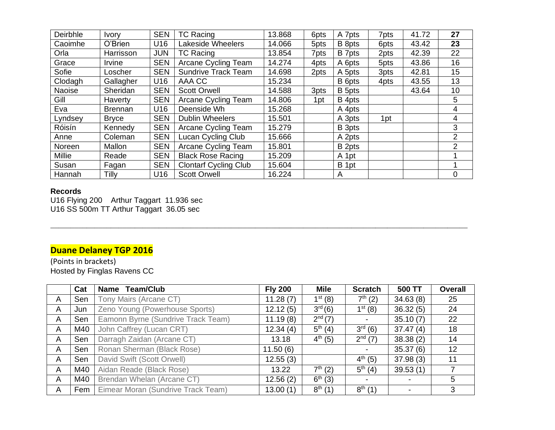| <b>Ivory</b>   | <b>SEN</b> | <b>TC Racing</b>             | 13.868 | 6pts | A 7pts | 7pts | 41.72 | 27 |
|----------------|------------|------------------------------|--------|------|--------|------|-------|----|
| O'Brien        | U16        | Lakeside Wheelers            | 14.066 | 5pts | B 8pts | 6pts | 43.42 | 23 |
| Harrisson      | <b>JUN</b> | <b>TC Racing</b>             | 13.854 | 7pts | B 7pts | 2pts | 42.39 | 22 |
| Irvine         | <b>SEN</b> | <b>Arcane Cycling Team</b>   | 14.274 | 4pts | A 6pts | 5pts | 43.86 | 16 |
| Loscher        | <b>SEN</b> | <b>Sundrive Track Team</b>   | 14.698 | 2pts | A 5pts | 3pts | 42.81 | 15 |
| Gallagher      | U16        | AAA CC                       | 15.234 |      | B 6pts | 4pts | 43.55 | 13 |
| Sheridan       | <b>SEN</b> | <b>Scott Orwell</b>          | 14.588 | 3pts | B 5pts |      | 43.64 | 10 |
| Haverty        | <b>SEN</b> | <b>Arcane Cycling Team</b>   | 14.806 | 1pt  | B 4pts |      |       | 5  |
| <b>Brennan</b> | U16        | Deenside Wh                  | 15.268 |      | A 4pts |      |       | 4  |
| <b>Bryce</b>   | <b>SEN</b> | <b>Dublin Wheelers</b>       | 15.501 |      | A 3pts | 1pt  |       | 4  |
| Kennedy        | <b>SEN</b> | Arcane Cycling Team          | 15.279 |      | B 3pts |      |       | 3  |
| Coleman        | <b>SEN</b> | Lucan Cycling Club           | 15.666 |      | A 2pts |      |       | 2  |
| Mallon         | <b>SEN</b> | <b>Arcane Cycling Team</b>   | 15.801 |      | B 2pts |      |       | 2  |
| Reade          | <b>SEN</b> | <b>Black Rose Racing</b>     | 15.209 |      | A 1pt  |      |       |    |
| Fagan          | <b>SEN</b> | <b>Clontarf Cycling Club</b> | 15.604 |      | B 1pt  |      |       |    |
| Tilly          | U16        | <b>Scott Orwell</b>          | 16.224 |      | A      |      |       | 0  |
|                |            |                              |        |      |        |      |       |    |

#### **Records**

U16 Flying 200 Arthur Taggart 11.936 sec U16 SS 500m TT Arthur Taggart 36.05 sec

## **Duane Delaney TGP 2016**

(Points in brackets) Hosted by Finglas Ravens CC

|              | Cat | Name Team/Club                     | <b>Fly 200</b> | <b>Mile</b>  | <b>Scratch</b> | 500 TT   | <b>Overall</b> |
|--------------|-----|------------------------------------|----------------|--------------|----------------|----------|----------------|
| A            | Sen | Tony Mairs (Arcane CT)             | 11.28(7)       | $1^{st} (8)$ | $7^{th}$ (2)   | 34.63(8) | 25             |
| A            | Jun | Zeno Young (Powerhouse Sports)     | 12.12(5)       | $3^{rd}(6)$  | $1^{st}$ (8)   | 36.32(5) | 24             |
| A            | Sen | Eamonn Byrne (Sundrive Track Team) | 11.19(8)       | $2^{nd}(7)$  |                | 35.10(7) | 22             |
| A            | M40 | John Caffrey (Lucan CRT)           | 12.34(4)       | $5^{th} (4)$ | $3^{rd}$ (6)   | 37.47(4) | 18             |
| A            | Sen | Darragh Zaidan (Arcane CT)         | 13.18          | $4^{th}$ (5) | $2^{nd} (7)$   | 38.38(2) | 14             |
| $\mathsf{A}$ | Sen | Ronan Sherman (Black Rose)         | 11.50(6)       |              |                | 35.37(6) | 12             |
| A            | Sen | David Swift (Scott Orwell)         | 12.55(3)       |              | $4^{th}$ (5)   | 37.98(3) | 11             |
| A            | M40 | Aidan Reade (Black Rose)           | 13.22          | $7^{th} (2)$ | $5^{th}$ (4)   | 39.53(1) |                |
| A            | M40 | Brendan Whelan (Arcane CT)         | 12.56(2)       | $6^{th}$ (3) |                |          | 5              |
| A            | Fem | Eimear Moran (Sundrive Track Team) | 13.00(1)       | $8^{th}$ (1) | $8^{th}$ (1)   |          | 3              |

 $\_$  , and the set of the set of the set of the set of the set of the set of the set of the set of the set of the set of the set of the set of the set of the set of the set of the set of the set of the set of the set of th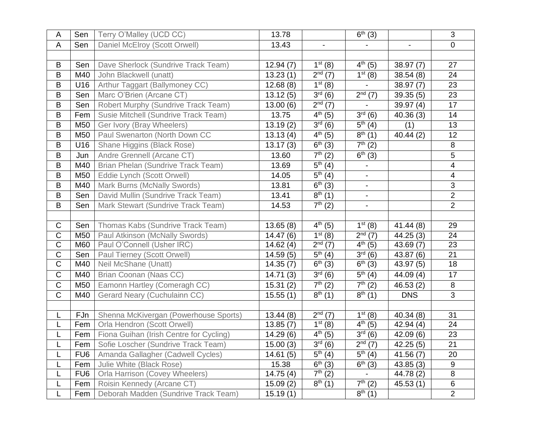| A                     | Sen             | Terry O'Malley (UCD CC)                 | 13.78                 |                          | $\bar{6}^{th}$ (3)             |                        | 3               |
|-----------------------|-----------------|-----------------------------------------|-----------------------|--------------------------|--------------------------------|------------------------|-----------------|
| A                     | Sen             | Daniel McElroy (Scott Orwell)           | 13.43                 | $\overline{\phantom{a}}$ | $\overline{\phantom{a}}$       | $\blacksquare$         | $\mathbf 0$     |
|                       |                 |                                         |                       |                          |                                |                        |                 |
| В                     | Sen             | Dave Sherlock (Sundrive Track Team)     | 12.94(7)              | $1^{st} (8)$             | $4^{th}$ (5)                   | 38.97(7)               | 27              |
| B                     | M40             | John Blackwell (unatt)                  | 13.23(1)              | $\overline{2^{nd}(7)}$   | $\overline{1^{st}(8)}$         | 38.54(8)               | 24              |
| B                     | U16             | Arthur Taggart (Ballymoney CC)          | 12.68(8)              | $1^{st} (8)$             |                                | 38.97(7)               | 23              |
| B                     | Sen             | Marc O'Brien (Arcane CT)                | 13.12(5)              | $\overline{3^{rd}(6)}$   | $2^{nd} (7)$                   | 39.35(5)               | 23              |
| $\sf B$               | Sen             | Robert Murphy (Sundrive Track Team)     | 13.00(6)              | $2nd$ (7)                |                                | 39.97(4)               | 17              |
| B                     | Fem             | Susie Mitchell (Sundrive Track Team)    | 13.75                 | $4^{th}$ (5)             | $3^{rd} (6)$                   | 40.36(3)               | 14              |
| B                     | M50             | Ger Ivory (Bray Wheelers)               | 13.19(2)              | $\overline{3^{rd}(6)}$   | $5^{th}$ (4)                   | (1)                    | $\overline{13}$ |
| B                     | M50             | Paul Swenarton (North Down CC           | 13.13(4)              | $4^{th}$ (5)             | $\overline{8^{th}(1)}$         | $\overline{40.44}$ (2) | 12              |
| B                     | U16             | Shane Higgins (Black Rose)              | 13.17(3)              | $6^{th}$ (3)             | $\overline{7^{th}}(2)$         |                        | 8               |
| B                     | Jun             | Andre Grennell (Arcane CT)              | 13.60                 | $\overline{7^{th}}(2)$   | $\frac{6^{th}}{6^{th}}(3)$     |                        | 5               |
| B                     | M40             | Brian Phelan (Sundrive Track Team)      | 13.69                 | $\overline{5^{th}}(4)$   |                                |                        | 4               |
| B                     | M50             | Eddie Lynch (Scott Orwell)              | 14.05                 | $\overline{5^{th}}(4)$   | $\blacksquare$                 |                        | $\overline{4}$  |
| B                     | M40             | Mark Burns (McNally Swords)             | 13.81                 | $\overline{6^{th}}(3)$   |                                |                        | 3               |
| B                     | Sen             | David Mullin (Sundrive Track Team)      | 13.41                 | $\overline{8^{th}(1)}$   | $\blacksquare$                 |                        | $\overline{2}$  |
| B                     | Sen             | Mark Stewart (Sundrive Track Team)      | 14.53                 | $\overline{7^{th}}(2)$   | $\blacksquare$                 |                        | $\overline{2}$  |
|                       |                 |                                         |                       |                          |                                |                        |                 |
| C                     | Sen             | Thomas Kabs (Sundrive Track Team)       | 13.65(8)              | $\overline{4^{th}}(5)$   | $1^{st}$ (8)                   | 41.44(8)               | 29              |
| $\mathsf C$           | M50             | Paul Atkinson (McNally Swords)          | 14.47(6)              | $1^{st}$ (8)             | $2nd$ (7)                      | 44.25(3)               | 24              |
| $\overline{C}$        | M60             | Paul O'Connell (Usher IRC)              | 14.62(4)              | $2^{nd} (7)$             | $4^{th}$ (5)                   | 43.69(7)               | 23              |
| $\overline{C}$        | Sen             | Paul Tierney (Scott Orwell)             | 14.59(5)              | $5^{th} (4)$             | $3^{rd} (6)$                   | 43.87 (6)              | 21              |
| $\mathsf C$           | M40             | Neil McShane (Unatt)                    | 14.35(7)              | $6^{th}$ (3)             | $6^{th}$ (3)                   | 43.97(5)               | 18              |
| $\mathsf C$           | M40             | Brian Coonan (Naas CC)                  | 14.71(3)              | $3^{rd}(6)$              | $\overline{5^{th}}(4)$         | 44.09(4)               | 17              |
| $\mathsf C$           | M50             | Eamonn Hartley (Comeragh CC)            | 15.31(2)              | $7^{th} (2)$             | $\overline{7^{th}}(2)$         | 46.53(2)               | 8               |
| $\overline{\text{C}}$ | M40             | Gerard Neary (Cuchulainn CC)            | 15.55(1)              | $8^{th}$ (1)             | $8^{th}$ (1)                   | <b>DNS</b>             | 3               |
|                       |                 |                                         |                       |                          |                                |                        |                 |
| L                     | FJn             | Shenna McKivergan (Powerhouse Sports)   | 13.44(8)              | $\overline{2^{nd}}$ (7)  | $\overline{1^{st}}(8)$         | 40.34(8)               | 31              |
| L                     | Fem             | Orla Hendron (Scott Orwell)             | $\overline{1}3.85(7)$ | $1^{st} (8)$             | $4^{th}$ (5)                   | 42.94(4)               | 24              |
| L                     | Fem             | Fiona Guihan (Irish Centre for Cycling) | 14.29 (6)             | $4^{th}$ (5)             | $3^{rd}$ (6)                   | 42.09(6)               | 23              |
|                       | Fem $ $         | Sofie Loscher (Sundrive Track Team)     | 15.00(3)              | $3^{rd} (6)$             | $2^{nd} (7)$                   | 42.25(5)               | $\overline{21}$ |
| L                     | FU <sub>6</sub> | Amanda Gallagher (Cadwell Cycles)       | 14.61(5)              | $\overline{5^{th}}(4)$   | $\overline{5}^{\text{th}}$ (4) | 41.56(7)               | 20              |
| L                     | Fem             | Julie White (Black Rose)                | 15.38                 | $6^{th}$ (3)             | $6^{th}$ (3)                   | 43.85(3)               | 9               |
| L                     | FU <sub>6</sub> | Orla Harrison (Covey Wheelers)          | 14.75(4)              | $7^{th} (2)$             | $\blacksquare$                 | 44.78 (2)              | $\overline{8}$  |
| L                     | Fem             | Roisin Kennedy (Arcane CT)              | 15.09(2)              | $8^{th}$ (1)             | $7^{th}$ (2)                   | 45.53(1)               | 6               |
| L                     | Fem             | Deborah Madden (Sundrive Track Team)    | 15.19(1)              |                          | $8^{th}$ (1)                   |                        | $\overline{2}$  |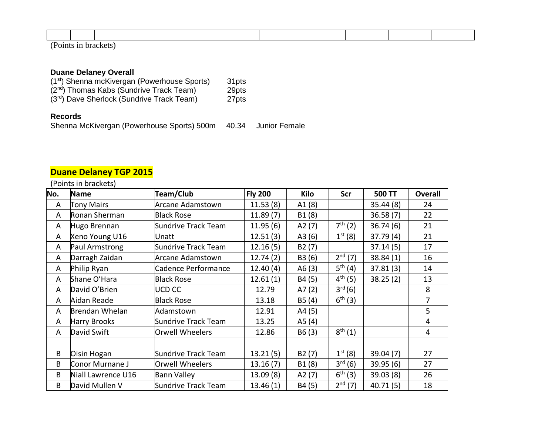(Points in brackets)

## **Duane Delaney Overall**

| (1 <sup>st</sup> ) Shenna mcKivergan (Powerhouse Sports) | 31pts |
|----------------------------------------------------------|-------|
| $(2nd)$ Thomas Kabs (Sundrive Track Team)                | 29pts |
| (3 <sup>rd</sup> ) Dave Sherlock (Sundrive Track Team)   | 27pts |

#### **Records**

Shenna McKivergan (Powerhouse Sports) 500m 40.34 Junior Female

## **Duane Delaney TGP 2015**

## (Points in brackets)

| No. | <b>Name</b>         | Team/Club               | <b>Fly 200</b> | Kilo   | Scr          | 500 TT    | <b>Overall</b> |
|-----|---------------------|-------------------------|----------------|--------|--------------|-----------|----------------|
| A   | <b>Tony Mairs</b>   | <b>Arcane Adamstown</b> | 11.53(8)       | A1(8)  |              | 35.44(8)  | 24             |
| A   | Ronan Sherman       | <b>Black Rose</b>       | 11.89(7)       | B1(8)  |              | 36.58(7)  | 22             |
| A   | Hugo Brennan        | Sundrive Track Team     | 11.95(6)       | A2(7)  | $7^{th} (2)$ | 36.74(6)  | 21             |
| A   | Xeno Young U16      | Unatt                   |                | A3(6)  | $1^{st} (8)$ | 37.79(4)  | 21             |
| A   | Paul Armstrong      | Sundrive Track Team     | 12.16(5)       | B2(7)  |              | 37.14(5)  | 17             |
| A   | Darragh Zaidan      | Arcane Adamstown        | 12.74(2)       | B3 (6) | $2^{nd} (7)$ | 38.84(1)  | 16             |
| A   | Philip Ryan         | Cadence Performance     | 12.40(4)       | A6(3)  | $5^{th}(4)$  | 37.81(3)  | 14             |
| A   | Shane O'Hara        | <b>Black Rose</b>       | 12.61(1)       | B4 (5) | $4^{th} (5)$ | 38.25(2)  | 13             |
| A   | David O'Brien       | <b>UCD CC</b>           | 12.79          | A7(2)  | $3^{rd}(6)$  |           | 8              |
| A   | Aidan Reade         | <b>Black Rose</b>       | 13.18          | B5(4)  | $6^{th} (3)$ |           | 7              |
| A   | Brendan Whelan      | Adamstown               | 12.91          | A4 (5) |              |           | 5              |
| A   | <b>Harry Brooks</b> | Sundrive Track Team     | 13.25          | A5(4)  |              |           | 4              |
| A   | David Swift         | Orwell Wheelers         | 12.86          | B6(3)  | $8^{th} (1)$ |           | $\overline{4}$ |
|     |                     |                         |                |        |              |           |                |
| B   | Oisin Hogan         | Sundrive Track Team     | 13.21(5)       | B2(7)  | $1^{st} (8)$ | 39.04(7)  | 27             |
| B   | Conor Murnane J     | Orwell Wheelers         | 13.16(7)       | B1(8)  | $3^{rd} (6)$ | 39.95(6)  | 27             |
| B   | Niall Lawrence U16  | <b>Bann Valley</b>      | 13.09(8)       | A2(7)  | $6^{th}$ (3) | 39.03 (8) | 26             |
| B   | David Mullen V      | Sundrive Track Team     | 13.46(1)       | B4 (5) | $2^{nd}$ (7) | 40.71(5)  | 18             |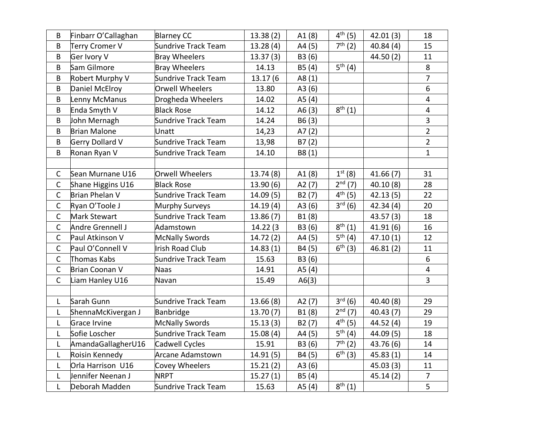| B              | Finbarr O'Callaghan | <b>Blarney CC</b>          | 13.38(2)  | A1(8)    | $4^{th} (5)$ | 42.01(3)  | 18                      |
|----------------|---------------------|----------------------------|-----------|----------|--------------|-----------|-------------------------|
| B              | Terry Cromer V      | Sundrive Track Team        | 13.28(4)  | A4 (5)   | $7^{th} (2)$ | 40.84(4)  | 15                      |
| B              | Ger Ivory V         | <b>Bray Wheelers</b>       | 13.37(3)  | B3 (6)   |              | 44.50 (2) | 11                      |
| B              | Sam Gilmore         | <b>Bray Wheelers</b>       | 14.13     | B5(4)    | $5^{th} (4)$ |           | 8                       |
| B              | Robert Murphy V     | Sundrive Track Team        | 13.17 (6  | A8 $(1)$ |              |           | $\overline{7}$          |
| B              | Daniel McElroy      | <b>Orwell Wheelers</b>     | 13.80     | A3(6)    |              |           | 6                       |
| B              | Lenny McManus       | Drogheda Wheelers          | 14.02     | A5(4)    |              |           | $\overline{4}$          |
| B              | Enda Smyth V        | <b>Black Rose</b>          | 14.12     | A6(3)    | $8^{th} (1)$ |           | $\overline{4}$          |
| B              | John Mernagh        | Sundrive Track Team        | 14.24     | B6(3)    |              |           | $\overline{\mathbf{3}}$ |
| B              | <b>Brian Malone</b> | Unatt                      | 14,23     | A7(2)    |              |           | $\overline{2}$          |
| B              | Gerry Dollard V     | <b>Sundrive Track Team</b> | 13,98     | B7(2)    |              |           | $\overline{2}$          |
| B              | Ronan Ryan V        | Sundrive Track Team        | 14.10     | B8(1)    |              |           | $\mathbf{1}$            |
|                |                     |                            |           |          |              |           |                         |
| $\mathsf{C}$   | Sean Murnane U16    | Orwell Wheelers            | 13.74(8)  | A1(8)    | $1^{st} (8)$ | 41.66(7)  | 31                      |
| $\mathsf{C}$   | Shane Higgins U16   | <b>Black Rose</b>          | 13.90(6)  | A2(7)    | $2^{nd} (7)$ | 40.10 (8) | 28                      |
| $\mathsf C$    | Brian Phelan V      | <b>Sundrive Track Team</b> | 14.09 (5) | B2(7)    | $4^{th} (5)$ | 42.13(5)  | 22                      |
| $\mathsf{C}$   | Ryan O'Toole J      | Murphy Surveys             | 14.19(4)  | A3(6)    | $3^{rd} (6)$ | 42.34(4)  | 20                      |
| $\mathsf{C}$   | Mark Stewart        | Sundrive Track Team        | 13.86(7)  | B1(8)    |              | 43.57(3)  | 18                      |
| $\mathsf{C}$   | Andre Grennell J    | Adamstown                  | 14.22 (3  | B3 (6)   | $8^{th} (1)$ | 41.91(6)  | 16                      |
| $\mathsf C$    | Paul Atkinson V     | <b>McNally Swords</b>      | 14.72(2)  | A4 (5)   | $5^{th}(4)$  | 47.10(1)  | 12                      |
| $\mathsf{C}$   | Paul O'Connell V    | <b>Irish Road Club</b>     | 14.83(1)  | B4 (5)   | $6^{th}$ (3) | 46.81(2)  | 11                      |
| $\mathsf C$    | Thomas Kabs         | Sundrive Track Team        | 15.63     | B3 (6)   |              |           | $\boldsymbol{6}$        |
| $\mathsf C$    | Brian Coonan V      | Naas                       | 14.91     | A5(4)    |              |           | $\overline{4}$          |
| $\overline{C}$ | Liam Hanley U16     | Navan                      | 15.49     | A6(3)    |              |           | $\overline{3}$          |
|                |                     |                            |           |          |              |           |                         |
| L              | Sarah Gunn          | Sundrive Track Team        | 13.66(8)  | A2(7)    | $3^{rd} (6)$ | 40.40(8)  | 29                      |
| L              | ShennaMcKivergan J  | Banbridge                  | 13.70(7)  | B1(8)    | $2^{nd} (7)$ | 40.43(7)  | 29                      |
| L              | Grace Irvine        | <b>McNally Swords</b>      | 15.13(3)  | B2(7)    | $4^{th} (5)$ | 44.52 (4) | 19                      |
| L              | Sofie Loscher       | Sundrive Track Team        | 15.08(4)  | A4 (5)   | $5^{th}(4)$  | 44.09(5)  | 18                      |
| L              | AmandaGallagherU16  | Cadwell Cycles             | 15.91     | B3 (6)   | $7^{th} (2)$ | 43.76(6)  | 14                      |
| L              | Roisin Kennedy      | <b>Arcane Adamstown</b>    | 14.91(5)  | B4 (5)   | $6^{th}$ (3) | 45.83(1)  | 14                      |
| L              | Orla Harrison U16   | Covey Wheelers             | 15.21(2)  | A3(6)    |              | 45.03 (3) | 11                      |
| L              | Jennifer Neenan J   | <b>NRPT</b>                | 15.27(1)  | B5(4)    |              | 45.14(2)  | $\overline{7}$          |
| L              | Deborah Madden      | Sundrive Track Team        | 15.63     | A5(4)    | $8^{th} (1)$ |           | 5                       |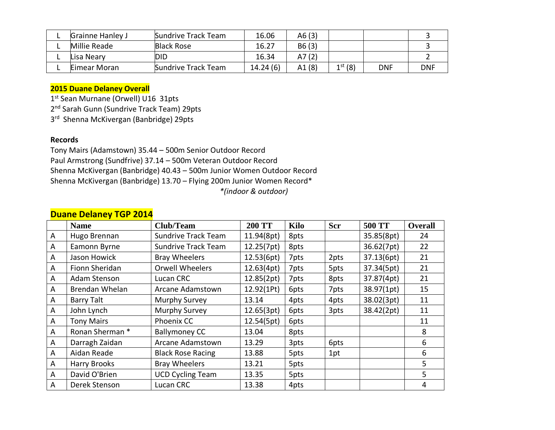| <b>Grainne Hanley J</b> | Sundrive Track Team | 16.06    | A6(3)  |              |            |            |
|-------------------------|---------------------|----------|--------|--------------|------------|------------|
| Millie Reade            | <b>Black Rose</b>   | 16.27    | B6(3)  |              |            |            |
| Lisa Neary              | DID                 | 16.34    | A7 (2) |              |            |            |
| Eimear Moran            | Sundrive Track Team | 14.24(6) | A1(8)  | $1^{st}$ (8) | <b>DNF</b> | <b>DNF</b> |

## **2015 Duane Delaney Overall**

1<sup>st</sup> Sean Murnane (Orwell) U16 31pts

2<sup>nd</sup> Sarah Gunn (Sundrive Track Team) 29pts

3<sup>rd</sup> Shenna McKivergan (Banbridge) 29pts

#### **Records**

Tony Mairs (Adamstown) 35.44 – 500m Senior Outdoor Record Paul Armstrong (Sundfrive) 37.14 – 500m Veteran Outdoor Record Shenna McKivergan (Banbridge) 40.43 – 500m Junior Women Outdoor Record Shenna McKivergan (Banbridge) 13.70 – Flying 200m Junior Women Record\*  *\*(indoor & outdoor)*

|              | <b>Dualle Delation 101 2017</b> |                            |               |             |            |               |                |
|--------------|---------------------------------|----------------------------|---------------|-------------|------------|---------------|----------------|
|              | <b>Name</b>                     | <b>Club/Team</b>           | <b>200 TT</b> | <b>Kilo</b> | <b>Scr</b> | <b>500 TT</b> | <b>Overall</b> |
| A            | Hugo Brennan                    | <b>Sundrive Track Team</b> | 11.94(8pt)    | 8pts        |            | 35.85(8pt)    | 24             |
| A            | Eamonn Byrne                    | <b>Sundrive Track Team</b> | 12.25(7pt)    | 8pts        |            | 36.62(7pt)    | 22             |
| A            | Jason Howick                    | <b>Bray Wheelers</b>       | 12.53(6pt)    | 7pts        | 2pts       | 37.13(6pt)    | 21             |
| $\mathsf{A}$ | Fionn Sheridan                  | <b>Orwell Wheelers</b>     | 12.63(4pt)    | 7pts        | 5pts       | 37.34(5pt)    | 21             |
| A            | Adam Stenson                    | Lucan CRC                  | 12.85(2pt)    | 7pts        | 8pts       | 37.87(4pt)    | 21             |
| A            | Brendan Whelan                  | Arcane Adamstown           | 12.92(1Pt)    | 6pts        | 7pts       | 38.97(1pt)    | 15             |
| A            | <b>Barry Talt</b>               | Murphy Survey              | 13.14         | 4pts        | 4pts       | 38.02(3pt)    | 11             |
| A            | John Lynch                      | Murphy Survey              | 12.65(3pt)    | 6pts        | 3pts       | 38.42(2pt)    | 11             |
| $\mathsf{A}$ | <b>Tony Mairs</b>               | Phoenix CC                 | 12.54(5pt)    | 6pts        |            |               | 11             |
| A            | Ronan Sherman *                 | <b>Ballymoney CC</b>       | 13.04         | 8pts        |            |               | 8              |
| A            | Darragh Zaidan                  | Arcane Adamstown           | 13.29         | 3pts        | 6pts       |               | 6              |
| $\mathsf{A}$ | Aidan Reade                     | <b>Black Rose Racing</b>   | 13.88         | 5pts        | 1pt        |               | 6              |
| A            | Harry Brooks                    | <b>Bray Wheelers</b>       | 13.21         | 5pts        |            |               | 5              |
| $\mathsf{A}$ | David O'Brien                   | <b>UCD Cycling Team</b>    | 13.35         | 5pts        |            |               | 5              |
| A            | Derek Stenson                   | Lucan CRC                  | 13.38         | 4pts        |            |               | 4              |

## **Duane Delaney TGP 2014**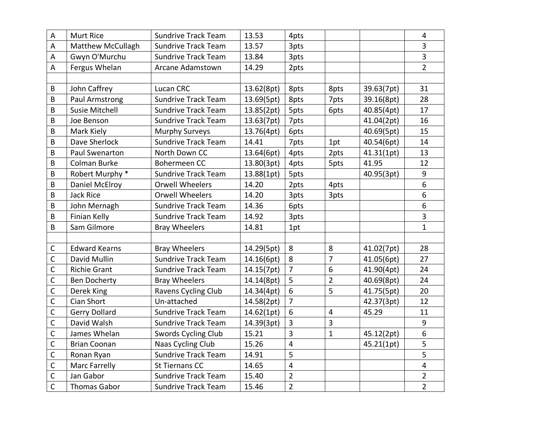| A              | Murt Rice                | <b>Sundrive Track Team</b> | 13.53      | 4pts            |                |            | $\overline{4}$          |
|----------------|--------------------------|----------------------------|------------|-----------------|----------------|------------|-------------------------|
| A              | <b>Matthew McCullagh</b> | <b>Sundrive Track Team</b> | 13.57      | 3pts            |                |            | 3                       |
| A              | Gwyn O'Murchu            | <b>Sundrive Track Team</b> | 13.84      | 3pts            |                |            | 3                       |
| A              | Fergus Whelan            | Arcane Adamstown           | 14.29      | 2pts            |                |            | $\overline{2}$          |
|                |                          |                            |            |                 |                |            |                         |
| B              | John Caffrey             | Lucan CRC                  | 13.62(8pt) | 8pts            | 8pts           | 39.63(7pt) | 31                      |
| B              | Paul Armstrong           | <b>Sundrive Track Team</b> | 13.69(5pt) | 8pts            | 7pts           | 39.16(8pt) | 28                      |
| B              | <b>Susie Mitchell</b>    | <b>Sundrive Track Team</b> | 13.85(2pt) | 5pts            | 6pts           | 40.85(4pt) | 17                      |
| B              | Joe Benson               | <b>Sundrive Track Team</b> | 13.63(7pt) | 7pts            |                | 41.04(2pt) | 16                      |
| B              | Mark Kiely               | <b>Murphy Surveys</b>      | 13.76(4pt) | 6pts            |                | 40.69(5pt) | 15                      |
| B              | Dave Sherlock            | <b>Sundrive Track Team</b> | 14.41      | 7pts            | 1pt            | 40.54(6pt) | 14                      |
| B              | Paul Swenarton           | North Down CC              | 13.64(6pt) | 4pts            | 2pts           | 41.31(1pt) | 13                      |
| B              | Colman Burke             | Bohermeen CC               | 13.80(3pt) | 4pts            | 5pts           | 41.95      | 12                      |
| B              | Robert Murphy *          | <b>Sundrive Track Team</b> | 13.88(1pt) | 5pts            |                | 40.95(3pt) | 9                       |
| B              | Daniel McElroy           | <b>Orwell Wheelers</b>     | 14.20      | 2pts            | 4pts           |            | 6                       |
| B              | Jack Rice                | <b>Orwell Wheelers</b>     | 14.20      | 3pts            | 3pts           |            | 6                       |
| B              | John Mernagh             | <b>Sundrive Track Team</b> | 14.36      | 6pts            |                |            | 6                       |
| B              | Finian Kelly             | <b>Sundrive Track Team</b> | 14.92      | 3pts            |                |            | $\overline{3}$          |
| B              | Sam Gilmore              | <b>Bray Wheelers</b>       | 14.81      | 1pt             |                |            | $\mathbf{1}$            |
|                |                          |                            |            |                 |                |            |                         |
| $\mathsf{C}$   | <b>Edward Kearns</b>     | <b>Bray Wheelers</b>       | 14.29(5pt) | $\bf 8$         | 8              | 41.02(7pt) | 28                      |
| С              | David Mullin             | <b>Sundrive Track Team</b> | 14.16(6pt) | $\,8\,$         | $\overline{7}$ | 41.05(6pt) | 27                      |
| $\mathsf{C}$   | <b>Richie Grant</b>      | <b>Sundrive Track Team</b> | 14.15(7pt) | $\overline{7}$  | 6              | 41.90(4pt) | 24                      |
| $\mathsf{C}$   | <b>Ben Docherty</b>      | <b>Bray Wheelers</b>       | 14.14(8pt) | 5               | $\overline{2}$ | 40.69(8pt) | 24                      |
| $\mathsf{C}$   | Derek King               | Ravens Cycling Club        | 14.34(4pt) | $\overline{6}$  | $\overline{5}$ | 41.75(5pt) | 20                      |
| C              | <b>Cian Short</b>        | Un-attached                | 14.58(2pt) | $\overline{7}$  |                | 42.37(3pt) | 12                      |
| $\mathsf{C}$   | <b>Gerry Dollard</b>     | <b>Sundrive Track Team</b> | 14.62(1pt) | $6\phantom{1}6$ | $\overline{4}$ | 45.29      | 11                      |
| $\mathsf{C}$   | David Walsh              | <b>Sundrive Track Team</b> | 14.39(3pt) | $\overline{3}$  | $\overline{3}$ |            | 9                       |
| $\mathsf{C}$   | James Whelan             | Swords Cycling Club        | 15.21      | $\overline{3}$  | $\mathbf{1}$   | 45.12(2pt) | 6                       |
| $\mathsf{C}$   | <b>Brian Coonan</b>      | Naas Cycling Club          | 15.26      | $\overline{4}$  |                | 45.21(1pt) | 5                       |
| $\overline{C}$ | Ronan Ryan               | <b>Sundrive Track Team</b> | 14.91      | 5               |                |            | 5                       |
| C              | Marc Farrelly            | <b>St Tiernans CC</b>      | 14.65      | $\overline{4}$  |                |            | $\overline{\mathbf{4}}$ |
| $\mathsf C$    | Jan Gabor                | Sundrive Track Team        | 15.40      | $\overline{2}$  |                |            | $\overline{2}$          |
| $\mathsf{C}$   | <b>Thomas Gabor</b>      | <b>Sundrive Track Team</b> | 15.46      | $\overline{2}$  |                |            | $\overline{2}$          |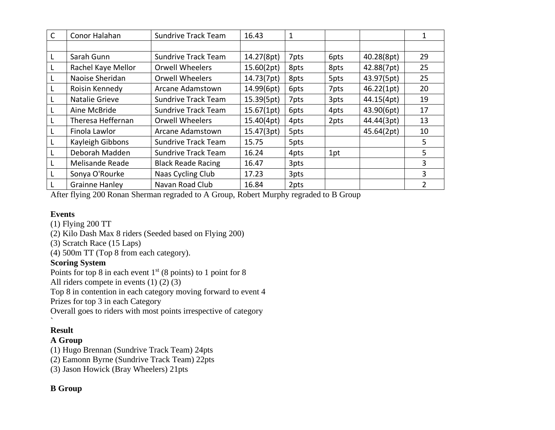| $\mathsf{C}$ | Conor Halahan          | <b>Sundrive Track Team</b> | 16.43      | $\mathbf 1$ |      |            |    |
|--------------|------------------------|----------------------------|------------|-------------|------|------------|----|
|              |                        |                            |            |             |      |            |    |
|              | Sarah Gunn             | <b>Sundrive Track Team</b> | 14.27(8pt) | 7pts        | 6pts | 40.28(8pt) | 29 |
| L            | Rachel Kaye Mellor     | <b>Orwell Wheelers</b>     | 15.60(2pt) | 8pts        | 8pts | 42.88(7pt) | 25 |
|              | Naoise Sheridan        | <b>Orwell Wheelers</b>     | 14.73(7pt) | 8pts        | 5pts | 43.97(5pt) | 25 |
|              | Roisin Kennedy         | Arcane Adamstown           | 14.99(6pt) | 6pts        | 7pts | 46.22(1pt) | 20 |
|              | Natalie Grieve         | <b>Sundrive Track Team</b> | 15.39(5pt) | 7pts        | 3pts | 44.15(4pt) | 19 |
|              | Aine McBride           | <b>Sundrive Track Team</b> | 15.67(1pt) | 6pts        | 4pts | 43.90(6pt) | 17 |
|              | Theresa Heffernan      | <b>Orwell Wheelers</b>     | 15.40(4pt) | 4pts        | 2pts | 44.44(3pt) | 13 |
|              | Finola Lawlor          | Arcane Adamstown           | 15.47(3pt) | 5pts        |      | 45.64(2pt) | 10 |
|              | Kayleigh Gibbons       | <b>Sundrive Track Team</b> | 15.75      | 5pts        |      |            | 5  |
|              | Deborah Madden         | <b>Sundrive Track Team</b> | 16.24      | 4pts        | 1pt  |            | 5  |
|              | <b>Melisande Reade</b> | <b>Black Reade Racing</b>  | 16.47      | 3pts        |      |            | 3  |
| L            | Sonya O'Rourke         | Naas Cycling Club          | 17.23      | 3pts        |      |            | 3  |
|              | <b>Grainne Hanley</b>  | Navan Road Club            | 16.84      | 2pts        |      |            | 2  |

After flying 200 Ronan Sherman regraded to A Group, Robert Murphy regraded to B Group

## **Events**

- (1) Flying 200 TT
- (2) Kilo Dash Max 8 riders (Seeded based on Flying 200)
- (3) Scratch Race (15 Laps)
- (4) 500m TT (Top 8 from each category).

## **Scoring System**

Points for top 8 in each event  $1<sup>st</sup>$  (8 points) to 1 point for 8

All riders compete in events (1) (2) (3)

Top 8 in contention in each category moving forward to event 4

Prizes for top 3 in each Category

Overall goes to riders with most points irrespective of category

## ` **Result**

## **A Group**

(1) Hugo Brennan (Sundrive Track Team) 24pts

(2) Eamonn Byrne (Sundrive Track Team) 22pts

(3) Jason Howick (Bray Wheelers) 21pts

## **B Group**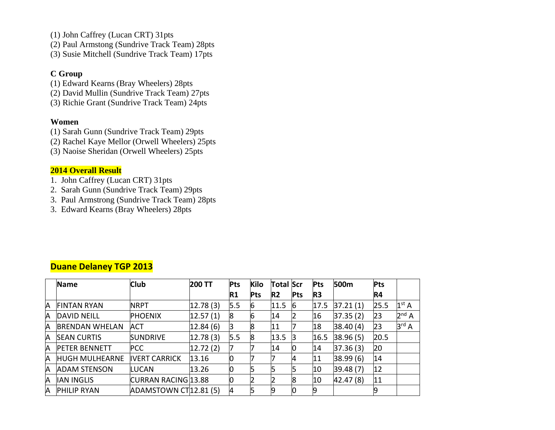- (1) John Caffrey (Lucan CRT) 31pts
- (2) Paul Armstong (Sundrive Track Team) 28pts
- (3) Susie Mitchell (Sundrive Track Team) 17pts

## **C Group**

- (1) Edward Kearns (Bray Wheelers) 28pts
- (2) David Mullin (Sundrive Track Team) 27pts
- (3) Richie Grant (Sundrive Track Team) 24pts

## **Women**

- (1) Sarah Gunn (Sundrive Track Team) 29pts
- (2) Rachel Kaye Mellor (Orwell Wheelers) 25pts
- (3) Naoise Sheridan (Orwell Wheelers) 25pts

## **2014 Overall Result**

- 1. John Caffrey (Lucan CRT) 31pts
- 2. Sarah Gunn (Sundrive Track Team) 29pts
- 3. Paul Armstrong (Sundrive Track Team) 28pts
- 3. Edward Kearns (Bray Wheelers) 28pts

|   | Name                  | <b>Club</b>                       | <b>200 TT</b> | <b>Pts</b> | <b>Kilo</b> | Total Scr      |            | <b>Pts</b>     | 500m     | <b>Pts</b> |                   |
|---|-----------------------|-----------------------------------|---------------|------------|-------------|----------------|------------|----------------|----------|------------|-------------------|
|   |                       |                                   |               | R1         | <b>Pts</b>  | R <sub>2</sub> | <b>Pts</b> | R <sub>3</sub> |          | R4         |                   |
| A | <b>FINTAN RYAN</b>    | <b>NRPT</b>                       | 12.78(3)      | 5.5        | 16          | 11.5           | 6          | 17.5           | 37.21(1) | 25.5       | 1 <sup>st</sup> A |
| A | <b>DAVID NEILL</b>    | <b>PHOENIX</b>                    | 12.57(1)      | 8          | 6           | 14             |            | 16             | 37.35(2) | 23         | $2^{nd}$ A        |
| A | <b>BRENDAN WHELAN</b> | ACT                               | 12.84(6)      |            | 8           | 11             |            | 18             | 38.40(4) | 23         | 3 <sup>rd</sup> A |
| A | <b>SEAN CURTIS</b>    | <b>SUNDRIVE</b>                   | 12.78(3)      | 5.5        | 8           | 13.5           | В          | 16.5           | 38.96(5) | 20.5       |                   |
| A | <b>PETER BENNETT</b>  | <b>PCC</b>                        | 12.72(2)      |            |             | 14             |            | 14             | 37.36(3) | 20         |                   |
| A | <b>HUGH MULHEARNE</b> | <b>IVERT CARRICK</b>              | 13.16         | 0          |             |                | 4          | 11             | 38.99(6) | 14         |                   |
| A | <b>ADAM STENSON</b>   | LUCAN                             | 13.26         | 0          |             |                |            | 10             | 39.48(7) | 12         |                   |
| A | <b>IAN INGLIS</b>     | CURRAN RACING 13.88               |               | 0          |             |                | 8          | 10             | 42.47(8) | 11         |                   |
| A | <b>PHILIP RYAN</b>    | ADAMSTOWN CT <sub>12.81</sub> (5) |               |            |             |                |            |                |          |            |                   |

## **Duane Delaney TGP 2013**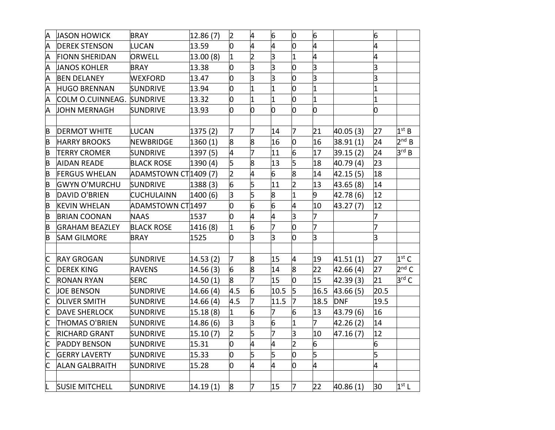| A                       | <b>JASON HOWICK</b>       | <b>BRAY</b>           | 12.86(7)  | $\overline{2}$ | 4              | 6              | O              | 6                       |            | 6              |                   |
|-------------------------|---------------------------|-----------------------|-----------|----------------|----------------|----------------|----------------|-------------------------|------------|----------------|-------------------|
| A                       | <b>DEREK STENSON</b>      | LUCAN                 | 13.59     | 0              | 4              | 4              | 0              | 4                       |            | 4              |                   |
| A                       | <b>FIONN SHERIDAN</b>     | ORWELL                | 13.00(8)  | 1              | $\overline{2}$ | 3              | 1              | 4                       |            | 4              |                   |
| A                       | <b>JANOS KOHLER</b>       | <b>BRAY</b>           | 13.38     | 0              | з              | з              | O              | 3                       |            | 3              |                   |
| A                       | <b>BEN DELANEY</b>        | <b>WEXFORD</b>        | 13.47     | 0              | 3              | 3              | 0              | 3                       |            | 3              |                   |
| Α                       | <b>HUGO BRENNAN</b>       | <b>SUNDRIVE</b>       | 13.94     | 0              | 11             | 1              | 0              | $\overline{1}$          |            | $\overline{1}$ |                   |
| Α                       | COLM O.CUINNEAG. SUNDRIVE |                       | 13.32     | 0              | I1             | $\overline{1}$ | 0              | $\overline{1}$          |            | $\overline{1}$ |                   |
| A                       | <b>JOHN MERNAGH</b>       | <b>SUNDRIVE</b>       | 13.93     | O              | 0              | O              | O              | 0                       |            | 0              |                   |
|                         |                           |                       |           |                |                |                |                |                         |            |                |                   |
| B                       | <b>DERMOT WHITE</b>       | <b>LUCAN</b>          | 1375(2)   | 7              | 7              | 14             | 7              | 21                      | 40.05(3)   | 27             | 1 <sup>st</sup> B |
| B                       | <b>HARRY BROOKS</b>       | NEWBRIDGE             | 1360(1)   | 8              | 8              | 16             | 0              | 16                      | 38.91(1)   | 24             | $2^{nd} B$        |
| B                       | <b>TERRY CROMER</b>       | <b>SUNDRIVE</b>       | 1397 (5)  | 4              | 7              | 11             | 6              | 17                      | 39.15(2)   | 24             | 3 <sup>rd</sup> B |
| B                       | <b>AIDAN READE</b>        | <b>BLACK ROSE</b>     | 1390(4)   | 5              | 8              | 13             | 5              | 18                      | 40.79 (4)  | 23             |                   |
| B                       | <b>FERGUS WHELAN</b>      | ADAMSTOWN CT 1409 (7) |           | $\overline{2}$ | 4              | 6              | 8              | 14                      | 42.15 (5)  | 18             |                   |
| B                       | <b>GWYN O'MURCHU</b>      | <b>SUNDRIVE</b>       | 1388(3)   | 6              | 5              | 11             | $\overline{2}$ | 13                      | 43.65 (8)  | 14             |                   |
| B                       | DAVID O'BRIEN             | <b>CUCHULAINN</b>     | 1400 (6)  | З              | 5              | 8              | 1              | 9                       | 42.78 (6)  | 12             |                   |
| B                       | <b>KEVIN WHELAN</b>       | ADAMSTOWN CT 1497     |           | 0              | 6              | 6              | 4              | 10                      | 43.27 (7)  | 12             |                   |
| B                       | <b>BRIAN COONAN</b>       | <b>NAAS</b>           | 1537      | O              | 4              | 4              | 3              | 7                       |            | 7              |                   |
| B                       | <b>GRAHAM BEAZLEY</b>     | <b>BLACK ROSE</b>     | 1416 (8)  | 1              | 6              | 7              | 0              | 7                       |            | 7              |                   |
| B                       | <b>SAM GILMORE</b>        | <b>BRAY</b>           | 1525      | 0              | lз             | 3              | 0              | $\overline{\mathsf{3}}$ |            | 3              |                   |
|                         |                           |                       |           |                |                |                |                |                         |            |                |                   |
| C                       | <b>RAY GROGAN</b>         | <b>SUNDRIVE</b>       | 14.53(2)  | 7              | 8              | 15             | 4              | 19                      | 41.51(1)   | 27             | $1st$ C           |
| C                       | <b>DEREK KING</b>         | <b>RAVENS</b>         | 14.56(3)  | 6              | 8              | 14             | $\overline{8}$ | 22                      | 42.66 (4)  | 27             | $2nd$ C           |
| C                       | <b>RONAN RYAN</b>         | <b>SERC</b>           | 14.50(1)  | 8              | 7              | 15             | b              | 15                      | 42.39 (3)  | 21             | $3^{\text{rd}}$ C |
| $\overline{\mathsf{C}}$ | <b>JOE BENSON</b>         | <b>SUNDRIVE</b>       | 14.66 (4) | 4.5            | 6              | 10.5           | $\overline{5}$ | 16.5                    | 43.66(5)   | 20.5           |                   |
| $\overline{\mathsf{C}}$ | <b>OLIVER SMITH</b>       | SUNDRIVE              | 14.66 (4) | 4.5            | 17             | 11.5           | 7              | 18.5                    | <b>DNF</b> | 19.5           |                   |
| $\overline{\mathsf{C}}$ | <b>DAVE SHERLOCK</b>      | <b>SUNDRIVE</b>       | 15.18(8)  | 1              | 6              | 7              | 6              | 13                      | 43.79 (6)  | 16             |                   |
| C                       | <b>THOMAS O'BRIEN</b>     | <b>SUNDRIVE</b>       | 14.86(6)  | lЗ             | lз             | 6              | $\overline{1}$ | $\overline{7}$          | 42.26(2)   | 14             |                   |
| $\overline{\mathsf{C}}$ | <b>RICHARD GRANT</b>      | <b>SUNDRIVE</b>       | 15.10(7)  | 2              | 5              | 7              | 3              | 10                      | 47.16(7)   | 12             |                   |
| $\overline{\mathsf{C}}$ | <b>PADDY BENSON</b>       | <b>SUNDRIVE</b>       | 15.31     | 0              | 4              | 4              | $\overline{2}$ | 6                       |            | 6              |                   |
| C                       | <b>GERRY LAVERTY</b>      | <b>SUNDRIVE</b>       | 15.33     | 0              | 5              | 5              | 0              | 5                       |            | 5              |                   |
| C                       | <b>ALAN GALBRAITH</b>     | <b>SUNDRIVE</b>       | 15.28     | O              | 4              | 4              | O              | 4                       |            | 4              |                   |
|                         |                           |                       |           |                |                |                |                |                         |            |                |                   |
| L.                      | <b>SUSIE MITCHELL</b>     | <b>SUNDRIVE</b>       | 14.19(1)  | 8              | 7              | 15             | 7              | 22                      | 40.86(1)   | 30             | $1st$ L           |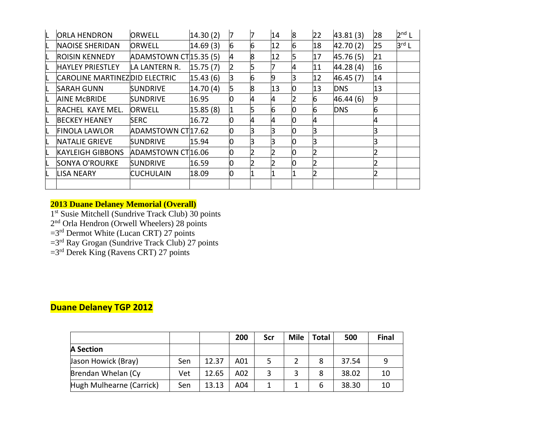| <b>ORLA HENDRON</b>           | ORWELL                            | 14.30(2) |   |   | 14 | 8 | 22 | 43.81(3)   | 28 | $2nd$ L           |
|-------------------------------|-----------------------------------|----------|---|---|----|---|----|------------|----|-------------------|
| <b>NAOISE SHERIDAN</b>        | <b>ORWELL</b>                     | 14.69(3) | 6 | 6 | 12 | 6 | 18 | 42.70 (2)  | 25 | $3^{\text{rd}}$ L |
| <b>ROISIN KENNEDY</b>         | ADAMSTOWN CT <sub>15.35</sub> (5) |          | 4 | 8 | 12 | 5 | 17 | 45.76 (5)  | 21 |                   |
| <b>HAYLEY PRIESTLEY</b>       | LA LANTERN R.                     | 15.75(7) |   |   |    | 4 | 11 | 44.28 (4)  | 16 |                   |
| CAROLINE MARTINEZDID ELECTRIC |                                   | 15.43(6) |   | 6 | 9  |   | 12 | 46.45 (7)  | 14 |                   |
| <b>SARAH GUNN</b>             | <b>SUNDRIVE</b>                   | 14.70(4) |   | 8 | 13 |   | 13 | <b>DNS</b> | 13 |                   |
| <b>AINE MCBRIDE</b>           | <b>SUNDRIVE</b>                   | 16.95    |   | 4 | 4  |   | 6  | 46.44 (6)  | 9  |                   |
| <b>RACHEL KAYE MEL.</b>       | ORWELL                            | 15.85(8) |   |   | 6  |   | 6  | <b>DNS</b> | 6  |                   |
| <b>BECKEY HEANEY</b>          | <b>SERC</b>                       | 16.72    |   | 4 | 4  |   |    |            | 4  |                   |
| <b>FINOLA LAWLOR</b>          | ADAMSTOWN CT17.62                 |          |   |   |    |   |    |            |    |                   |
| <b>NATALIE GRIEVE</b>         | <b>SUNDRIVE</b>                   | 15.94    |   |   |    |   |    |            | 3  |                   |
| <b>KAYLEIGH GIBBONS</b>       | ADAMSTOWN CT16.06                 |          |   |   |    |   |    |            |    |                   |
| SONYA O'ROURKE                | <b>SUNDRIVE</b>                   | 16.59    |   |   |    |   |    |            |    |                   |
| <b>LISA NEARY</b>             | <b>CUCHULAIN</b>                  | 18.09    |   |   |    |   |    |            | 2  |                   |
|                               |                                   |          |   |   |    |   |    |            |    |                   |

#### **2013 Duane Delaney Memorial (Overall)**

1<sup>st</sup> Susie Mitchell (Sundrive Track Club) 30 points

2<sup>nd</sup> Orla Hendron (Orwell Wheelers) 28 points

 $=3<sup>rd</sup>$  Dermot White (Lucan CRT) 27 points

 $=3<sup>rd</sup>$  Ray Grogan (Sundrive Track Club) 27 points

 $=3<sup>rd</sup>$  Derek King (Ravens CRT) 27 points

## **Duane Delaney TGP 2012**

|                          |     |       | 200             | Scr | Mile | Total | 500   | <b>Final</b> |
|--------------------------|-----|-------|-----------------|-----|------|-------|-------|--------------|
| A Section                |     |       |                 |     |      |       |       |              |
| Jason Howick (Bray)      | Sen | 12.37 | A01             |     |      | 8     | 37.54 |              |
| Brendan Whelan (Cy       | Vet | 12.65 | A02             |     |      | 8     | 38.02 | 10           |
| Hugh Mulhearne (Carrick) | Sen | 13.13 | A <sub>04</sub> |     |      | 6     | 38.30 | 10           |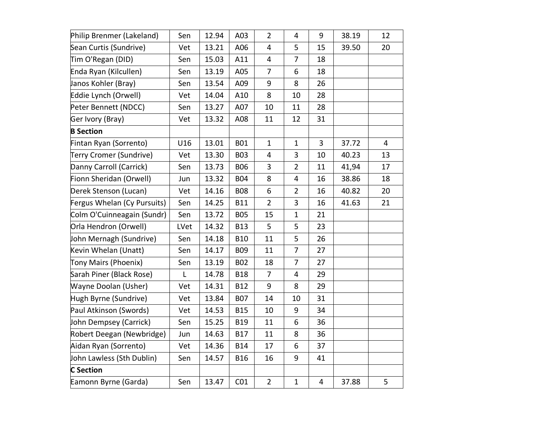| Philip Brenmer (Lakeland)   | Sen  | 12.94 | A03             | $\overline{2}$          | 4              | 9              | 38.19 | 12 |
|-----------------------------|------|-------|-----------------|-------------------------|----------------|----------------|-------|----|
| Sean Curtis (Sundrive)      | Vet  | 13.21 | A06             | $\overline{4}$          | 5              | 15             | 39.50 | 20 |
| Tim O'Regan (DID)           | Sen  | 15.03 | A11             | $\overline{\mathbf{4}}$ | $\overline{7}$ | 18             |       |    |
| Enda Ryan (Kilcullen)       | Sen  | 13.19 | A05             | $\overline{7}$          | 6              | 18             |       |    |
| Janos Kohler (Bray)         | Sen  | 13.54 | A09             | 9                       | 8              | 26             |       |    |
| Eddie Lynch (Orwell)        | Vet  | 14.04 | A10             | 8                       | 10             | 28             |       |    |
| Peter Bennett (NDCC)        | Sen  | 13.27 | A07             | 10                      | 11             | 28             |       |    |
| Ger Ivory (Bray)            | Vet  | 13.32 | A08             | 11                      | 12             | 31             |       |    |
| <b>B</b> Section            |      |       |                 |                         |                |                |       |    |
| Fintan Ryan (Sorrento)      | U16  | 13.01 | <b>B01</b>      | $\mathbf{1}$            | $\mathbf{1}$   | 3              | 37.72 | 4  |
| Terry Cromer (Sundrive)     | Vet  | 13.30 | <b>B03</b>      | 4                       | 3              | 10             | 40.23 | 13 |
| Danny Carroll (Carrick)     | Sen  | 13.73 | <b>B06</b>      | 3                       | $\overline{2}$ | 11             | 41,94 | 17 |
| Fionn Sheridan (Orwell)     | Jun  | 13.32 | <b>B04</b>      | 8                       | $\overline{4}$ | 16             | 38.86 | 18 |
| Derek Stenson (Lucan)       | Vet  | 14.16 | <b>B08</b>      | 6                       | $\overline{2}$ | 16             | 40.82 | 20 |
| Fergus Whelan (Cy Pursuits) | Sen  | 14.25 | <b>B11</b>      | $\overline{2}$          | 3              | 16             | 41.63 | 21 |
| Colm O'Cuinneagain (Sundr)  | Sen  | 13.72 | <b>B05</b>      | 15                      | $\mathbf{1}$   | 21             |       |    |
| Orla Hendron (Orwell)       | LVet | 14.32 | <b>B13</b>      | 5                       | 5              | 23             |       |    |
| John Mernagh (Sundrive)     | Sen  | 14.18 | <b>B10</b>      | 11                      | 5              | 26             |       |    |
| Kevin Whelan (Unatt)        | Sen  | 14.17 | <b>B09</b>      | 11                      | $\overline{7}$ | 27             |       |    |
| Tony Mairs (Phoenix)        | Sen  | 13.19 | <b>B02</b>      | 18                      | $\overline{7}$ | 27             |       |    |
| Sarah Piner (Black Rose)    | L    | 14.78 | <b>B18</b>      | $\overline{7}$          | 4              | 29             |       |    |
| Wayne Doolan (Usher)        | Vet  | 14.31 | <b>B12</b>      | 9                       | 8              | 29             |       |    |
| Hugh Byrne (Sundrive)       | Vet  | 13.84 | <b>B07</b>      | 14                      | 10             | 31             |       |    |
| Paul Atkinson (Swords)      | Vet  | 14.53 | <b>B15</b>      | 10                      | 9              | 34             |       |    |
| John Dempsey (Carrick)      | Sen  | 15.25 | <b>B19</b>      | 11                      | 6              | 36             |       |    |
| Robert Deegan (Newbridge)   | Jun  | 14.63 | <b>B17</b>      | 11                      | 8              | 36             |       |    |
| Aidan Ryan (Sorrento)       | Vet  | 14.36 | <b>B14</b>      | 17                      | 6              | 37             |       |    |
| John Lawless (Sth Dublin)   | Sen  | 14.57 | <b>B16</b>      | 16                      | 9              | 41             |       |    |
| <b>C</b> Section            |      |       |                 |                         |                |                |       |    |
| Eamonn Byrne (Garda)        | Sen  | 13.47 | CO <sub>1</sub> | $\overline{2}$          | $\mathbf{1}$   | $\overline{4}$ | 37.88 | 5  |
|                             |      |       |                 |                         |                |                |       |    |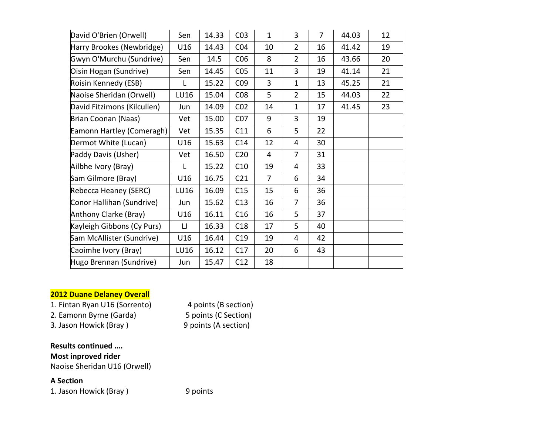| David O'Brien (Orwell)      | Sen  | 14.33 | CO <sub>3</sub> | $\mathbf{1}$   | 3              | $\overline{7}$ | 44.03 | 12 |
|-----------------------------|------|-------|-----------------|----------------|----------------|----------------|-------|----|
| Harry Brookes (Newbridge)   | U16  | 14.43 | CO <sub>4</sub> | 10             | $\overline{2}$ | 16             | 41.42 | 19 |
| Gwyn O'Murchu (Sundrive)    | Sen  | 14.5  | C <sub>06</sub> | 8              | $\overline{2}$ | 16             | 43.66 | 20 |
| Oisin Hogan (Sundrive)      | Sen  | 14.45 | CO <sub>5</sub> | 11             | 3              | 19             | 41.14 | 21 |
| Roisin Kennedy (ESB)        | L    | 15.22 | CO <sub>9</sub> | 3              | $\mathbf{1}$   | 13             | 45.25 | 21 |
| Naoise Sheridan (Orwell)    | LU16 | 15.04 | CO8             | 5              | $\overline{2}$ | 15             | 44.03 | 22 |
| David Fitzimons (Kilcullen) | Jun  | 14.09 | CO <sub>2</sub> | 14             | $\mathbf{1}$   | 17             | 41.45 | 23 |
| Brian Coonan (Naas)         | Vet  | 15.00 | CO <sub>7</sub> | 9              | 3              | 19             |       |    |
| Eamonn Hartley (Comeragh)   | Vet  | 15.35 | C11             | 6              | 5              | 22             |       |    |
| Dermot White (Lucan)        | U16  | 15.63 | C14             | 12             | 4              | 30             |       |    |
| Paddy Davis (Usher)         | Vet  | 16.50 | C <sub>20</sub> | 4              | $\overline{7}$ | 31             |       |    |
| Ailbhe Ivory (Bray)         | L    | 15.22 | C10             | 19             | $\overline{4}$ | 33             |       |    |
| Sam Gilmore (Bray)          | U16  | 16.75 | C <sub>21</sub> | $\overline{7}$ | 6              | 34             |       |    |
| Rebecca Heaney (SERC)       | LU16 | 16.09 | C15             | 15             | 6              | 36             |       |    |
| Conor Hallihan (Sundrive)   | Jun  | 15.62 | C13             | 16             | 7              | 36             |       |    |
| Anthony Clarke (Bray)       | U16  | 16.11 | C16             | 16             | 5              | 37             |       |    |
| Kayleigh Gibbons (Cy Purs)  | IJ   | 16.33 | C18             | 17             | 5              | 40             |       |    |
| Sam McAllister (Sundrive)   | U16  | 16.44 | C19             | 19             | 4              | 42             |       |    |
| Caoimhe Ivory (Bray)        | LU16 | 16.12 | C17             | 20             | 6              | 43             |       |    |
| Hugo Brennan (Sundrive)     | Jun  | 15.47 | C12             | 18             |                |                |       |    |

## **2012 Duane Delaney Overall**

1. Fintan Ryan U16 (Sorrento) 4 points (B section)

2. Eamonn Byrne (Garda) 5 points (C Section)

3. Jason Howick (Bray ) 9 points (A section)

**Results continued …. Most inproved rider** Naoise Sheridan U16 (Orwell)

## **A Section**

1. Jason Howick (Bray ) 9 points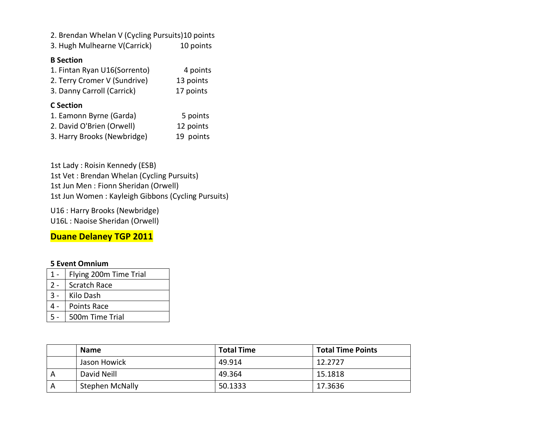2. Brendan Whelan V (Cycling Pursuits)10 points

3. Hugh Mulhearne V(Carrick) 10 points

#### **B Section**

| 1. Fintan Ryan U16(Sorrento) | 4 points  |
|------------------------------|-----------|
| 2. Terry Cromer V (Sundrive) | 13 points |
| 3. Danny Carroll (Carrick)   | 17 points |

## **C Section**

| 1. Eamonn Byrne (Garda)     | 5 points  |
|-----------------------------|-----------|
| 2. David O'Brien (Orwell)   | 12 points |
| 3. Harry Brooks (Newbridge) | 19 points |

1st Lady : Roisin Kennedy (ESB) 1st Vet : Brendan Whelan (Cycling Pursuits) 1st Jun Men : Fionn Sheridan (Orwell) 1st Jun Women : Kayleigh Gibbons (Cycling Pursuits)

U16 : Harry Brooks (Newbridge) U16L : Naoise Sheridan (Orwell)

**Duane Delaney TGP 2011**

#### **5 Event Omnium**

|       | Flying 200m Time Trial |
|-------|------------------------|
| $2 -$ | Scratch Race           |
|       | Kilo Dash              |
|       | <b>Points Race</b>     |
|       | 500m Time Trial        |

|   | <b>Name</b>            | <b>Total Time</b> | <b>Total Time Points</b> |
|---|------------------------|-------------------|--------------------------|
|   | Jason Howick           | 49.914            | 12.2727                  |
| A | David Neill            | 49.364            | 15.1818                  |
| A | <b>Stephen McNally</b> | 50.1333           | 17.3636                  |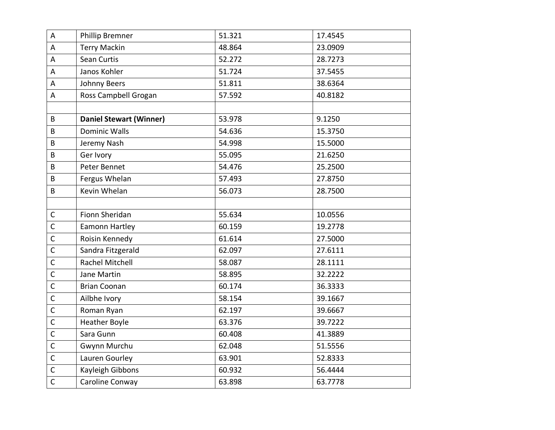| A            | Phillip Bremner                | 51.321 | 17.4545 |
|--------------|--------------------------------|--------|---------|
| A            | <b>Terry Mackin</b>            | 48.864 | 23.0909 |
| A            | Sean Curtis                    | 52.272 | 28.7273 |
| A            | Janos Kohler                   | 51.724 | 37.5455 |
| A            | Johnny Beers                   | 51.811 | 38.6364 |
| A            | Ross Campbell Grogan           | 57.592 | 40.8182 |
|              |                                |        |         |
| B            | <b>Daniel Stewart (Winner)</b> | 53.978 | 9.1250  |
| B            | <b>Dominic Walls</b>           | 54.636 | 15.3750 |
| B            | Jeremy Nash                    | 54.998 | 15.5000 |
| B            | Ger Ivory                      | 55.095 | 21.6250 |
| B            | Peter Bennet                   | 54.476 | 25.2500 |
| B            | Fergus Whelan                  | 57.493 | 27.8750 |
| B            | Kevin Whelan                   | 56.073 | 28.7500 |
|              |                                |        |         |
| $\mathsf{C}$ | Fionn Sheridan                 | 55.634 | 10.0556 |
| $\mathsf{C}$ | Eamonn Hartley                 | 60.159 | 19.2778 |
| $\mathsf{C}$ | Roisin Kennedy                 | 61.614 | 27.5000 |
| $\mathsf{C}$ | Sandra Fitzgerald              | 62.097 | 27.6111 |
| $\mathsf{C}$ | <b>Rachel Mitchell</b>         | 58.087 | 28.1111 |
| $\mathsf{C}$ | Jane Martin                    | 58.895 | 32.2222 |
| $\mathsf C$  | <b>Brian Coonan</b>            | 60.174 | 36.3333 |
| $\mathsf{C}$ | Ailbhe Ivory                   | 58.154 | 39.1667 |
| $\mathsf{C}$ | Roman Ryan                     | 62.197 | 39.6667 |
| $\mathsf{C}$ | <b>Heather Boyle</b>           | 63.376 | 39.7222 |
| $\mathsf{C}$ | Sara Gunn                      | 60.408 | 41.3889 |
| $\mathsf{C}$ | Gwynn Murchu                   | 62.048 | 51.5556 |
| $\mathsf{C}$ | Lauren Gourley                 | 63.901 | 52.8333 |
| $\mathsf{C}$ | Kayleigh Gibbons               | 60.932 | 56.4444 |
| $\mathsf{C}$ | Caroline Conway                | 63.898 | 63.7778 |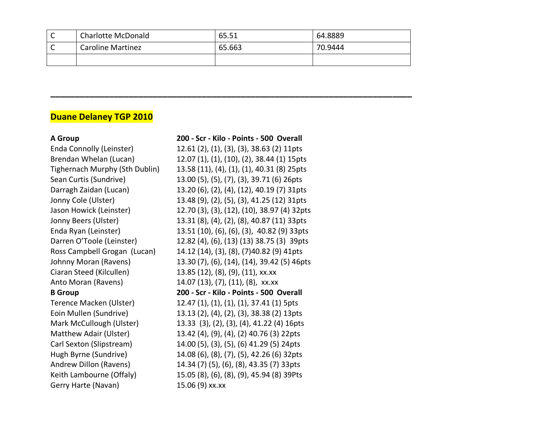| ∼ | <b>Charlotte McDonald</b> | 65.51  | 64.8889 |
|---|---------------------------|--------|---------|
| ∼ | <b>Caroline Martinez</b>  | 65.663 | 70.9444 |
|   |                           |        |         |

**\_\_\_\_\_\_\_\_\_\_\_\_\_\_\_\_\_\_\_\_\_\_\_\_\_\_\_\_\_\_\_\_\_\_\_\_\_\_\_\_\_\_\_\_\_\_\_\_\_\_\_\_\_\_\_\_\_\_\_\_\_\_\_\_\_\_\_\_\_\_\_\_\_\_**

## **Duane Delaney TGP 2010**

Ciaran Steed (Kilcullen) 13.85 (12), (8), (9), (11), xx.xx Anto Moran (Ravens) 14.07 (13), (7), (11), (8), xx.xx

Gerry Harte (Navan) 15.06 (9) xx.xx

**A Group 200 - Scr - Kilo - Points - 500 Overall** Enda Connolly (Leinster) 12.61 (2), (1), (3), (3), 38.63 (2) 11pts Brendan Whelan (Lucan) 12.07 (1), (1), (10), (2), 38.44 (1) 15pts Tighernach Murphy (Sth Dublin) 13.58 (11), (4), (1), (1), 40.31 (8) 25pts Sean Curtis (Sundrive) 13.00 (5), (5), (7), (3), 39.71 (6) 26pts Darragh Zaidan (Lucan) 13.20 (6), (2), (4), (12), 40.19 (7) 31pts Jonny Cole (Ulster) 13.48 (9), (2), (5), (3), 41.25 (12) 31pts Jason Howick (Leinster) 12.70 (3), (3), (12), (10), 38.97 (4) 32pts Jonny Beers (Ulster) 13.31 (8), (4), (2), (8), 40.87 (11) 33pts Enda Ryan (Leinster) 13.51 (10), (6), (6), (3), 40.82 (9) 33pts Darren O'Toole (Leinster) 12.82 (4), (6), (13) (13) 38.75 (3) 39pts Ross Campbell Grogan (Lucan) 14.12 (14), (3), (8), (7)40.82 (9) 41pts Johnny Moran (Ravens) 13.30 (7), (6), (14), (14), 39.42 (5) 46pts **B Group 200 - Scr - Kilo - Points - 500 Overall** Terence Macken (Ulster) 12.47 (1), (1), (1), (1), 37.41 (1) 5pts Eoin Mullen (Sundrive) 13.13 (2), (4), (2), (3), 38.38 (2) 13pts Mark McCullough (Ulster) 13.33 (3), (2), (3), (4), 41.22 (4) 16pts Matthew Adair (Ulster) 13.42 (4), (9), (4), (2) 40.76 (3) 22pts Carl Sexton (Slipstream) 14.00 (5), (3), (5), (6) 41.29 (5) 24pts Hugh Byrne (Sundrive) 14.08 (6), (8), (7), (5), 42.26 (6) 32pts Andrew Dillon (Ravens) 14.34 (7) (5), (6), (8), 43.35 (7) 33pts Keith Lambourne (Offaly) 15.05 (8), (6), (8), (9), 45.94 (8) 39Pts